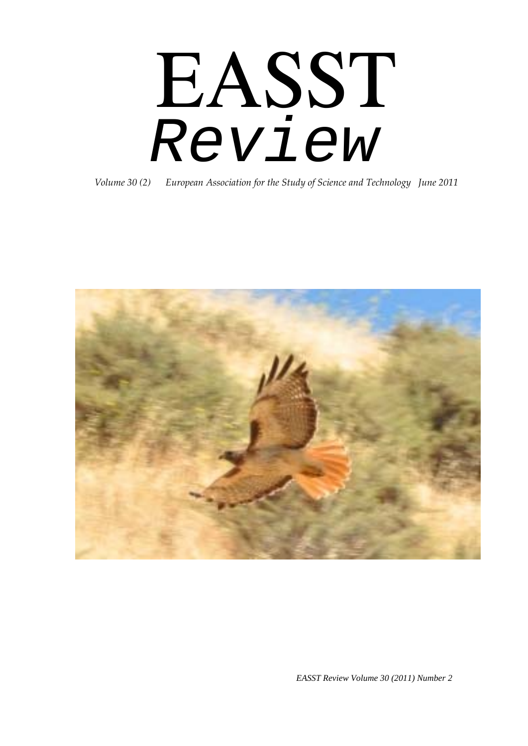# EASST *Review*

*Volume 30 (2) European Association for the Study of Science and Technology June 2011*



*EASST Review Volume 30 (2011) Number 2*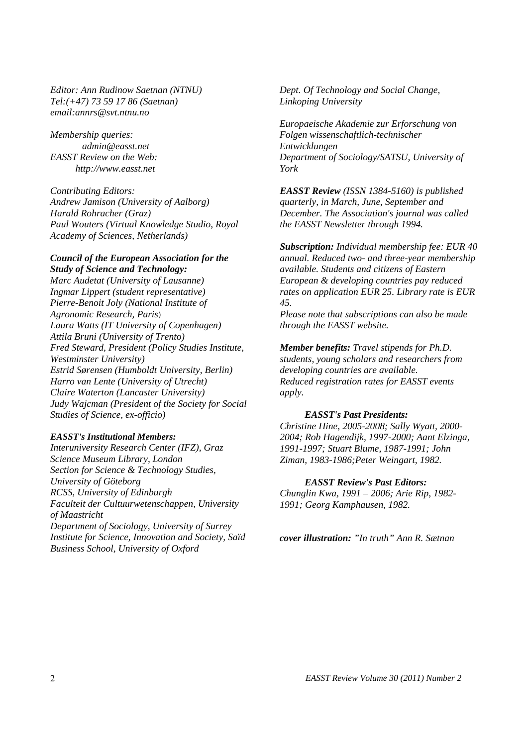*Editor: Ann Rudinow Saetnan (NTNU) Tel:(+47) 73 59 17 86 (Saetnan) email:annrs@svt.ntnu.no* 

*Membership queries: admin@easst.net EASST Review on the Web: http://www.easst.net* 

*Contributing Editors: Andrew Jamison (University of Aalborg) Harald Rohracher (Graz) Paul Wouters (Virtual Knowledge Studio, Royal Academy of Sciences, Netherlands)* 

#### *Council of the European Association for the Study of Science and Technology:*

*Marc Audetat (University of Lausanne) Ingmar Lippert (student representative) Pierre-Benoit Joly (National Institute of Agronomic Research, Paris*) *Laura Watts (IT University of Copenhagen) Attila Bruni (University of Trento) Fred Steward, President (Policy Studies Institute, Westminster University) Estrid Sørensen (Humboldt University, Berlin) Harro van Lente (University of Utrecht) Claire Waterton (Lancaster University) Judy Wajcman (President of the Society for Social Studies of Science, ex-officio)* 

#### *EASST's Institutional Members:*

*Interuniversity Research Center (IFZ), Graz Science Museum Library, London Section for Science & Technology Studies, University of Göteborg RCSS, University of Edinburgh Faculteit der Cultuurwetenschappen, University of Maastricht Department of Sociology, University of Surrey Institute for Science, Innovation and Society, Saïd Business School, University of Oxford* 

*Dept. Of Technology and Social Change, Linkoping University* 

*Europaeische Akademie zur Erforschung von Folgen wissenschaftlich-technischer Entwicklungen Department of Sociology/SATSU, University of York* 

*EASST Review (ISSN 1384-5160) is published quarterly, in March, June, September and December. The Association's journal was called the EASST Newsletter through 1994.* 

*Subscription: Individual membership fee: EUR 40 annual. Reduced two- and three-year membership available. Students and citizens of Eastern European & developing countries pay reduced rates on application EUR 25. Library rate is EUR 45.* 

*Please note that subscriptions can also be made through the EASST website.* 

*Member benefits: Travel stipends for Ph.D. students, young scholars and researchers from developing countries are available. Reduced registration rates for EASST events apply.* 

#### *EASST's Past Presidents:*

*Christine Hine, 2005-2008; Sally Wyatt, 2000- 2004; Rob Hagendijk, 1997-2000; Aant Elzinga, 1991-1997; Stuart Blume, 1987-1991; John Ziman, 1983-1986;Peter Weingart, 1982.* 

#### *EASST Review's Past Editors:*

*Chunglin Kwa, 1991 – 2006; Arie Rip, 1982- 1991; Georg Kamphausen, 1982.* 

*cover illustration: "In truth" Ann R. Sætnan*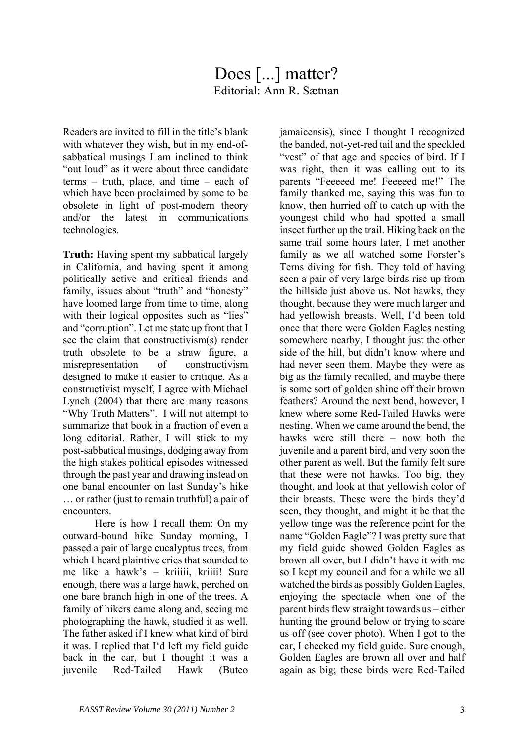# Does [...] matter? Editorial: Ann R. Sætnan

Readers are invited to fill in the title's blank with whatever they wish, but in my end-ofsabbatical musings I am inclined to think "out loud" as it were about three candidate terms – truth, place, and time – each of which have been proclaimed by some to be obsolete in light of post-modern theory and/or the latest in communications technologies.

**Truth:** Having spent my sabbatical largely in California, and having spent it among politically active and critical friends and family, issues about "truth" and "honesty" have loomed large from time to time, along with their logical opposites such as "lies" and "corruption". Let me state up front that I see the claim that constructivism(s) render truth obsolete to be a straw figure, a misrepresentation of constructivism designed to make it easier to critique. As a constructivist myself, I agree with Michael Lynch (2004) that there are many reasons "Why Truth Matters". I will not attempt to summarize that book in a fraction of even a long editorial. Rather, I will stick to my post-sabbatical musings, dodging away from the high stakes political episodes witnessed through the past year and drawing instead on one banal encounter on last Sunday's hike … or rather (just to remain truthful) a pair of encounters.

Here is how I recall them: On my outward-bound hike Sunday morning, I passed a pair of large eucalyptus trees, from which I heard plaintive cries that sounded to me like a hawk's – kriiiii, kriiii! Sure enough, there was a large hawk, perched on one bare branch high in one of the trees. A family of hikers came along and, seeing me photographing the hawk, studied it as well. The father asked if I knew what kind of bird it was. I replied that I'd left my field guide back in the car, but I thought it was a juvenile Red-Tailed Hawk (Buteo jamaicensis), since I thought I recognized the banded, not-yet-red tail and the speckled "vest" of that age and species of bird. If I was right, then it was calling out to its parents "Feeeeed me! Feeeeed me!" The family thanked me, saying this was fun to know, then hurried off to catch up with the youngest child who had spotted a small insect further up the trail. Hiking back on the same trail some hours later, I met another family as we all watched some Forster's Terns diving for fish. They told of having seen a pair of very large birds rise up from the hillside just above us. Not hawks, they thought, because they were much larger and had yellowish breasts. Well, I'd been told once that there were Golden Eagles nesting somewhere nearby, I thought just the other side of the hill, but didn't know where and had never seen them. Maybe they were as big as the family recalled, and maybe there is some sort of golden shine off their brown feathers? Around the next bend, however, I knew where some Red-Tailed Hawks were nesting. When we came around the bend, the hawks were still there – now both the juvenile and a parent bird, and very soon the other parent as well. But the family felt sure that these were not hawks. Too big, they thought, and look at that yellowish color of their breasts. These were the birds they'd seen, they thought, and might it be that the yellow tinge was the reference point for the name "Golden Eagle"? I was pretty sure that my field guide showed Golden Eagles as brown all over, but I didn't have it with me so I kept my council and for a while we all watched the birds as possibly Golden Eagles, enjoying the spectacle when one of the parent birds flew straight towards us – either hunting the ground below or trying to scare us off (see cover photo). When I got to the car, I checked my field guide. Sure enough, Golden Eagles are brown all over and half again as big; these birds were Red-Tailed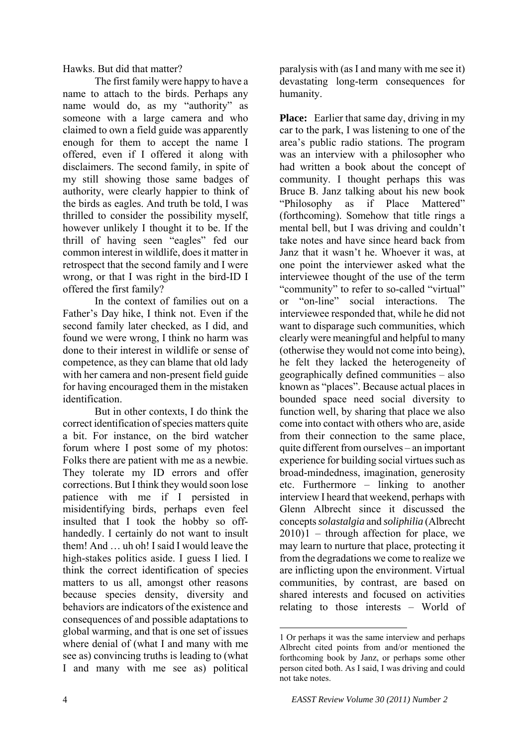Hawks. But did that matter?

The first family were happy to have a name to attach to the birds. Perhaps any name would do, as my "authority" as someone with a large camera and who claimed to own a field guide was apparently enough for them to accept the name I offered, even if I offered it along with disclaimers. The second family, in spite of my still showing those same badges of authority, were clearly happier to think of the birds as eagles. And truth be told, I was thrilled to consider the possibility myself, however unlikely I thought it to be. If the thrill of having seen "eagles" fed our common interest in wildlife, does it matter in retrospect that the second family and I were wrong, or that I was right in the bird-ID I offered the first family?

In the context of families out on a Father's Day hike, I think not. Even if the second family later checked, as I did, and found we were wrong, I think no harm was done to their interest in wildlife or sense of competence, as they can blame that old lady with her camera and non-present field guide for having encouraged them in the mistaken identification.

<span id="page-3-0"></span>But in other contexts, I do think the correct identification of species matters quite a bit. For instance, on the bird watcher forum where I post some of my photos: Folks there are patient with me as a newbie. They tolerate my ID errors and offer corrections. But I think they would soon lose patience with me if I persisted in misidentifying birds, perhaps even feel insulted that I took the hobby so offhandedly. I certainly do not want to insult them! And … uh oh! I said I would leave the high-stakes politics aside. I guess I lied. I think the correct identification of species matters to us all, amongst other reasons because species density, diversity and behaviors are indicators of the existence and consequences of and possible adaptations to global warming, and that is one set of issues where denial of (what I and many with me see as) convincing truths is leading to (what I and many with me see as) political

paralysis with (as I and many with me see it) devastating long-term consequences for humanity.

**Place:** Earlier that same day, driving in my car to the park, I was listening to one of the area's public radio stations. The program was an interview with a philosopher who had written a book about the concept of community. I thought perhaps this was Bruce B. Janz talking about his new book "Philosophy as if Place Mattered" (forthcoming). Somehow that title rings a mental bell, but I was driving and couldn't take notes and have since heard back from Janz that it wasn't he. Whoever it was, at one point the interviewer asked what the interviewee thought of the use of the term "community" to refer to so-called "virtual" or "on-line" social interactions. The interviewee responded that, while he did not want to disparage such communities, which clearly were meaningful and helpful to many (otherwise they would not come into being), he felt they lacked the heterogeneity of geographically defined communities – also known as "places". Because actual places in bounded space need social diversity to function well, by sharing that place we also come into contact with others who are, aside from their connection to the same place, quite different from ourselves – an important experience for building social virtues such as broad-mindedness, imagination, generosity etc. Furthermore – linking to another interview I heard that weekend, perhaps with Glenn Albrecht since it discussed the concepts *solastalgia* and *soliphilia* (Albrecht  $2010$  $2010$  $2010$ )1 – through affection for place, we may learn to nurture that place, protecting it from the degradations we come to realize we are inflicting upon the environment. Virtual communities, by contrast, are based on shared interests and focused on activities relating to those interests – World of

<u>.</u>

<sup>1</sup> Or perhaps it was the same interview and perhaps Albrecht cited points from and/or mentioned the forthcoming book by Janz, or perhaps some other person cited both. As I said, I was driving and could not take notes.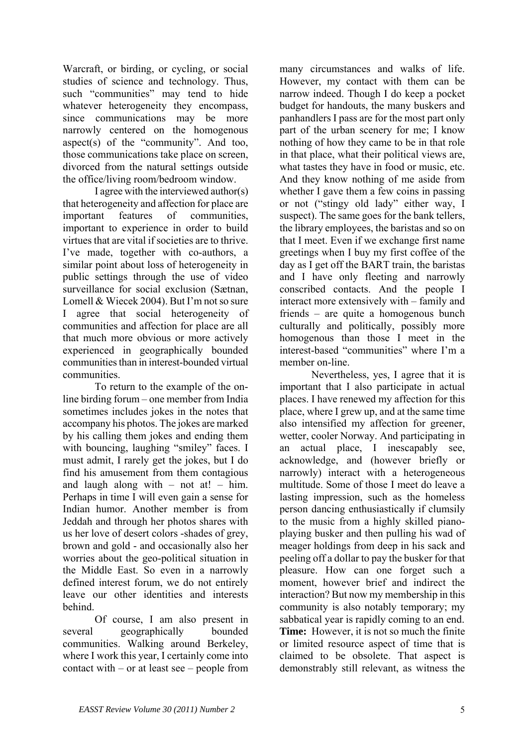Warcraft, or birding, or cycling, or social studies of science and technology. Thus, such "communities" may tend to hide whatever heterogeneity they encompass, since communications may be more narrowly centered on the homogenous aspect(s) of the "community". And too, those communications take place on screen, divorced from the natural settings outside the office/living room/bedroom window.

I agree with the interviewed author(s) that heterogeneity and affection for place are important features of communities, important to experience in order to build virtues that are vital if societies are to thrive. I've made, together with co-authors, a similar point about loss of heterogeneity in public settings through the use of video surveillance for social exclusion (Sætnan, Lomell & Wiecek 2004). But I'm not so sure I agree that social heterogeneity of communities and affection for place are all that much more obvious or more actively experienced in geographically bounded communities than in interest-bounded virtual communities.

To return to the example of the online birding forum – one member from India sometimes includes jokes in the notes that accompany his photos. The jokes are marked by his calling them jokes and ending them with bouncing, laughing "smiley" faces. I must admit, I rarely get the jokes, but I do find his amusement from them contagious and laugh along with – not at! – him. Perhaps in time I will even gain a sense for Indian humor. Another member is from Jeddah and through her photos shares with us her love of desert colors -shades of grey, brown and gold - and occasionally also her worries about the geo-political situation in the Middle East. So even in a narrowly defined interest forum, we do not entirely leave our other identities and interests behind.

Of course, I am also present in several geographically bounded communities. Walking around Berkeley, where I work this year. I certainly come into contact with – or at least see – people from many circumstances and walks of life. However, my contact with them can be narrow indeed. Though I do keep a pocket budget for handouts, the many buskers and panhandlers I pass are for the most part only part of the urban scenery for me; I know nothing of how they came to be in that role in that place, what their political views are, what tastes they have in food or music, etc. And they know nothing of me aside from whether I gave them a few coins in passing or not ("stingy old lady" either way, I suspect). The same goes for the bank tellers, the library employees, the baristas and so on that I meet. Even if we exchange first name greetings when I buy my first coffee of the day as I get off the BART train, the baristas and I have only fleeting and narrowly conscribed contacts. And the people I interact more extensively with – family and friends – are quite a homogenous bunch culturally and politically, possibly more homogenous than those I meet in the interest-based "communities" where I'm a member on-line.

Nevertheless, yes, I agree that it is important that I also participate in actual places. I have renewed my affection for this place, where I grew up, and at the same time also intensified my affection for greener, wetter, cooler Norway. And participating in an actual place, I inescapably see, acknowledge, and (however briefly or narrowly) interact with a heterogeneous multitude. Some of those I meet do leave a lasting impression, such as the homeless person dancing enthusiastically if clumsily to the music from a highly skilled pianoplaying busker and then pulling his wad of meager holdings from deep in his sack and peeling off a dollar to pay the busker for that pleasure. How can one forget such a moment, however brief and indirect the interaction? But now my membership in this community is also notably temporary; my sabbatical year is rapidly coming to an end. **Time:** However, it is not so much the finite or limited resource aspect of time that is claimed to be obsolete. That aspect is demonstrably still relevant, as witness the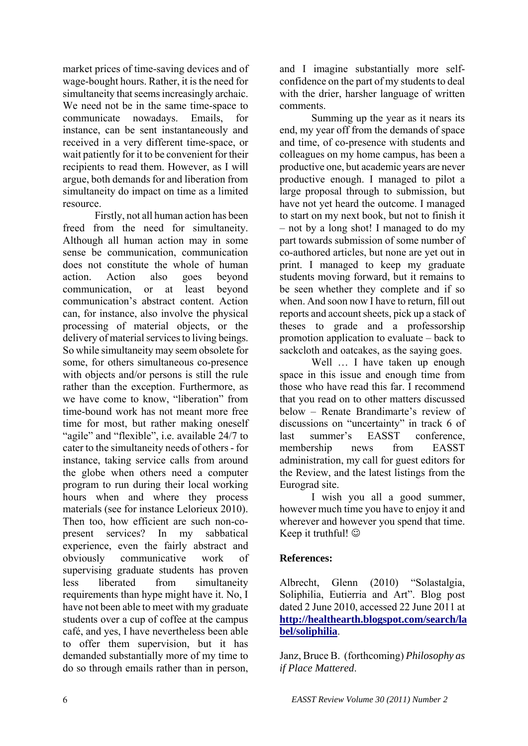market prices of time-saving devices and of wage-bought hours. Rather, it is the need for simultaneity that seems increasingly archaic. We need not be in the same time-space to communicate nowadays. Emails, for instance, can be sent instantaneously and received in a very different time-space, or wait patiently for it to be convenient for their recipients to read them. However, as I will argue, both demands for and liberation from simultaneity do impact on time as a limited resource.

 Firstly, not all human action has been freed from the need for simultaneity. Although all human action may in some sense be communication, communication does not constitute the whole of human action. Action also goes beyond communication, or at least beyond communication's abstract content. Action can, for instance, also involve the physical processing of material objects, or the delivery of material services to living beings. So while simultaneity may seem obsolete for some, for others simultaneous co-presence with objects and/or persons is still the rule rather than the exception. Furthermore, as we have come to know, "liberation" from time-bound work has not meant more free time for most, but rather making oneself "agile" and "flexible", i.e. available 24/7 to cater to the simultaneity needs of others - for instance, taking service calls from around the globe when others need a computer program to run during their local working hours when and where they process materials (see for instance Lelorieux 2010). Then too, how efficient are such non-copresent services? In my sabbatical experience, even the fairly abstract and obviously communicative work of supervising graduate students has proven less liberated from simultaneity requirements than hype might have it. No, I have not been able to meet with my graduate students over a cup of coffee at the campus café, and yes, I have nevertheless been able to offer them supervision, but it has demanded substantially more of my time to do so through emails rather than in person,

and I imagine substantially more selfconfidence on the part of my students to deal with the drier, harsher language of written comments.

Summing up the year as it nears its end, my year off from the demands of space and time, of co-presence with students and colleagues on my home campus, has been a productive one, but academic years are never productive enough. I managed to pilot a large proposal through to submission, but have not yet heard the outcome. I managed to start on my next book, but not to finish it – not by a long shot! I managed to do my part towards submission of some number of co-authored articles, but none are yet out in print. I managed to keep my graduate students moving forward, but it remains to be seen whether they complete and if so when. And soon now I have to return, fill out reports and account sheets, pick up a stack of theses to grade and a professorship promotion application to evaluate – back to sackcloth and oatcakes, as the saying goes.

Well ... I have taken up enough space in this issue and enough time from those who have read this far. I recommend that you read on to other matters discussed below – Renate Brandimarte's review of discussions on "uncertainty" in track 6 of last summer's EASST conference, membership news from EASST administration, my call for guest editors for the Review, and the latest listings from the Eurograd site.

I wish you all a good summer, however much time you have to enjoy it and wherever and however you spend that time. Keep it truthful!  $\odot$ 

# **References:**

Albrecht, Glenn (2010) "Solastalgia, Soliphilia, Eutierria and Art". Blog post dated 2 June 2010, accessed 22 June 2011 at **[http://healthearth.blogspot.com/search/la](http://healthearth.blogspot.com/search/label/soliphilia) [bel/soliphilia](http://healthearth.blogspot.com/search/label/soliphilia)**.

Janz, Bruce B. (forthcoming) *Philosophy as if Place Mattered*.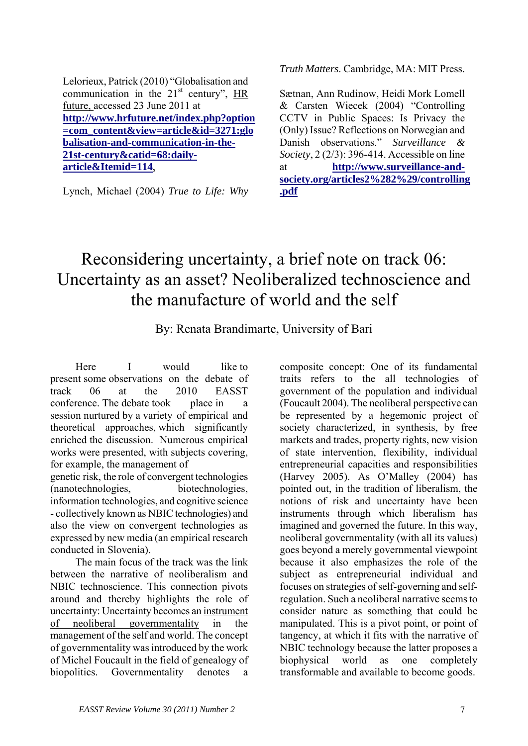Lelorieux, Patrick (2010) "Globalisation and communication in the  $21<sup>st</sup>$  century", HR future, accessed 23 June 2011 at **[http://www.hrfuture.net/index.php?option](http://www.hrfuture.net/index.php?option=com_content&view=article&id=3271:globalisation-and-communication-in-the-21st-century&catid=68:daily-article&Itemid=114) [=com\\_content&view=article&id=3271:glo](http://www.hrfuture.net/index.php?option=com_content&view=article&id=3271:globalisation-and-communication-in-the-21st-century&catid=68:daily-article&Itemid=114) [balisation-and-communication-in-the-](http://www.hrfuture.net/index.php?option=com_content&view=article&id=3271:globalisation-and-communication-in-the-21st-century&catid=68:daily-article&Itemid=114)[21st-century&catid=68:daily](http://www.hrfuture.net/index.php?option=com_content&view=article&id=3271:globalisation-and-communication-in-the-21st-century&catid=68:daily-article&Itemid=114)[article&Itemid=114](http://www.hrfuture.net/index.php?option=com_content&view=article&id=3271:globalisation-and-communication-in-the-21st-century&catid=68:daily-article&Itemid=114)**,

Lynch, Michael (2004) *True to Life: Why* 

*Truth Matters*. Cambridge, MA: MIT Press.

Sætnan, Ann Rudinow, Heidi Mork Lomell & Carsten Wiecek (2004) "Controlling CCTV in Public Spaces: Is Privacy the (Only) Issue? Reflections on Norwegian and Danish observations." *Surveillance & Society*, 2 (2/3): 396-414. Accessible on line at **[http://www.surveillance-and](http://www.surveillance-and-society.org/articles2%282%29/controlling.pdf)[society.org/articles2%282%29/controlling](http://www.surveillance-and-society.org/articles2%282%29/controlling.pdf) [.pdf](http://www.surveillance-and-society.org/articles2%282%29/controlling.pdf)**

# Reconsidering uncertainty, a brief note on track 06: Uncertainty as an asset? Neoliberalized technoscience and the manufacture of world and the self

By: Renata Brandimarte, University of Bari

Here I would like to present some observations on the debate of track 06 at the 2010 EASST conference. The debate took place in a session nurtured by a variety of empirical and theoretical approaches, which significantly enriched the discussion. Numerous empirical works were presented, with subjects covering, for example, the management of

genetic risk, the role of convergent technologies (nanotechnologies, biotechnologies, information technologies, and cognitive science - collectively known as NBIC technologies) and also the view on convergent technologies as expressed by new media (an empirical research conducted in Slovenia).

The main focus of the track was the link between the narrative of neoliberalism and NBIC technoscience. This connection pivots around and thereby highlights the role of uncertainty: Uncertainty becomes an instrument of neoliberal governmentality in the management of the self and world. The concept of governmentality was introduced by the work of Michel Foucault in the field of genealogy of biopolitics. Governmentality denotes a composite concept: One of its fundamental traits refers to the all technologies of government of the population and individual (Foucault 2004). The neoliberal perspective can be represented by a hegemonic project of society characterized, in synthesis, by free markets and trades, property rights, new vision of state intervention, flexibility, individual entrepreneurial capacities and responsibilities (Harvey 2005). As O'Malley (2004) has pointed out, in the tradition of liberalism, the notions of risk and uncertainty have been instruments through which liberalism has imagined and governed the future. In this way, neoliberal governmentality (with all its values) goes beyond a merely governmental viewpoint because it also emphasizes the role of the subject as entrepreneurial individual and focuses on strategies of self-governing and selfregulation. Such a neoliberal narrative seems to consider nature as something that could be manipulated. This is a pivot point, or point of tangency, at which it fits with the narrative of NBIC technology because the latter proposes a biophysical world as one completely transformable and available to become goods.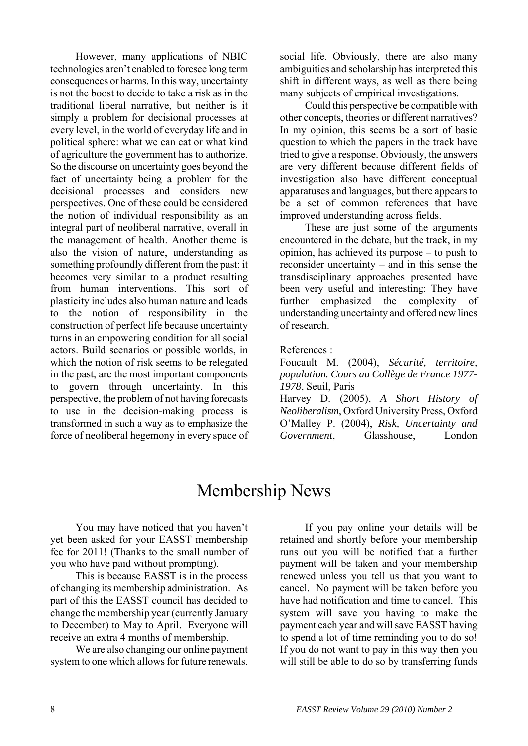However, many applications of NBIC technologies aren't enabled to foresee long term consequences or harms. In this way, uncertainty is not the boost to decide to take a risk as in the traditional liberal narrative, but neither is it simply a problem for decisional processes at every level, in the world of everyday life and in political sphere: what we can eat or what kind of agriculture the government has to authorize. So the discourse on uncertainty goes beyond the fact of uncertainty being a problem for the decisional processes and considers new perspectives. One of these could be considered the notion of individual responsibility as an integral part of neoliberal narrative, overall in the management of health. Another theme is also the vision of nature, understanding as something profoundly different from the past: it becomes very similar to a product resulting from human interventions. This sort of plasticity includes also human nature and leads to the notion of responsibility in the construction of perfect life because uncertainty turns in an empowering condition for all social actors. Build scenarios or possible worlds, in which the notion of risk seems to be relegated in the past, are the most important components to govern through uncertainty. In this perspective, the problem of not having forecasts to use in the decision-making process is transformed in such a way as to emphasize the force of neoliberal hegemony in every space of social life. Obviously, there are also many ambiguities and scholarship has interpreted this shift in different ways, as well as there being many subjects of empirical investigations.

Could this perspective be compatible with other concepts, theories or different narratives? In my opinion, this seems be a sort of basic question to which the papers in the track have tried to give a response. Obviously, the answers are very different because different fields of investigation also have different conceptual apparatuses and languages, but there appears to be a set of common references that have improved understanding across fields.

These are just some of the arguments encountered in the debate, but the track, in my opinion, has achieved its purpose – to push to reconsider uncertainty – and in this sense the transdisciplinary approaches presented have been very useful and interesting: They have further emphasized the complexity of understanding uncertainty and offered new lines of research.

#### References :

Foucault M. (2004), *Sécurité, territoire, population. Cours au Collège de France 1977- 1978*, Seuil, Paris

Harvey D. (2005), *A Short History of Neoliberalism*, Oxford University Press, Oxford O'Malley P. (2004), *Risk, Uncertainty and Government*, Glasshouse, London

# Membership News

You may have noticed that you haven't yet been asked for your EASST membership fee for 2011! (Thanks to the small number of you who have paid without prompting).

This is because EASST is in the process of changing its membership administration. As part of this the EASST council has decided to change the membership year (currently January to December) to May to April. Everyone will receive an extra 4 months of membership.

We are also changing our online payment system to one which allows for future renewals.

If you pay online your details will be retained and shortly before your membership runs out you will be notified that a further payment will be taken and your membership renewed unless you tell us that you want to cancel. No payment will be taken before you have had notification and time to cancel. This system will save you having to make the payment each year and will save EASST having to spend a lot of time reminding you to do so! If you do not want to pay in this way then you will still be able to do so by transferring funds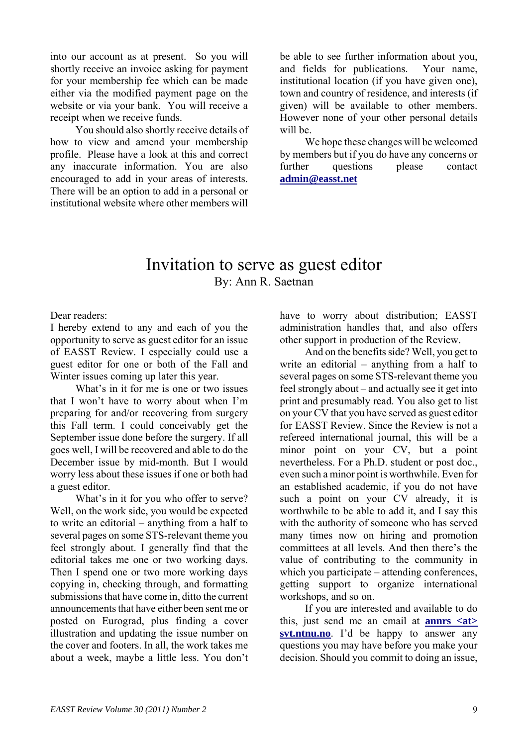into our account as at present. So you will shortly receive an invoice asking for payment for your membership fee which can be made either via the modified payment page on the website or via your bank. You will receive a receipt when we receive funds.

You should also shortly receive details of how to view and amend your membership profile. Please have a look at this and correct any inaccurate information. You are also encouraged to add in your areas of interests. There will be an option to add in a personal or institutional website where other members will be able to see further information about you, and fields for publications. Your name, institutional location (if you have given one), town and country of residence, and interests (if given) will be available to other members. However none of your other personal details will be.

We hope these changes will be welcomed by members but if you do have any concerns or further questions please contact **[admin@easst.net](mailto:admin@easst.net)**

# Invitation to serve as guest editor By: Ann R. Saetnan

Dear readers:

I hereby extend to any and each of you the opportunity to serve as guest editor for an issue of EASST Review. I especially could use a guest editor for one or both of the Fall and Winter issues coming up later this year.

What's in it for me is one or two issues that I won't have to worry about when I'm preparing for and/or recovering from surgery this Fall term. I could conceivably get the September issue done before the surgery. If all goes well, I will be recovered and able to do the December issue by mid-month. But I would worry less about these issues if one or both had a guest editor.

What's in it for you who offer to serve? Well, on the work side, you would be expected to write an editorial – anything from a half to several pages on some STS-relevant theme you feel strongly about. I generally find that the editorial takes me one or two working days. Then I spend one or two more working days copying in, checking through, and formatting submissions that have come in, ditto the current announcements that have either been sent me or posted on Eurograd, plus finding a cover illustration and updating the issue number on the cover and footers. In all, the work takes me about a week, maybe a little less. You don't have to worry about distribution; EASST administration handles that, and also offers other support in production of the Review.

And on the benefits side? Well, you get to write an editorial – anything from a half to several pages on some STS-relevant theme you feel strongly about – and actually see it get into print and presumably read. You also get to list on your CV that you have served as guest editor for EASST Review. Since the Review is not a refereed international journal, this will be a minor point on your CV, but a point nevertheless. For a Ph.D. student or post doc., even such a minor point is worthwhile. Even for an established academic, if you do not have such a point on your CV already, it is worthwhile to be able to add it, and I say this with the authority of someone who has served many times now on hiring and promotion committees at all levels. And then there's the value of contributing to the community in which you participate – attending conferences, getting support to organize international workshops, and so on.

If you are interested and available to do this, just send me an email at **[annrs <at>](mailto:annrs@svt.ntnu.no)  [svt.ntnu.no](mailto:annrs@svt.ntnu.no)**. I'd be happy to answer any questions you may have before you make your decision. Should you commit to doing an issue,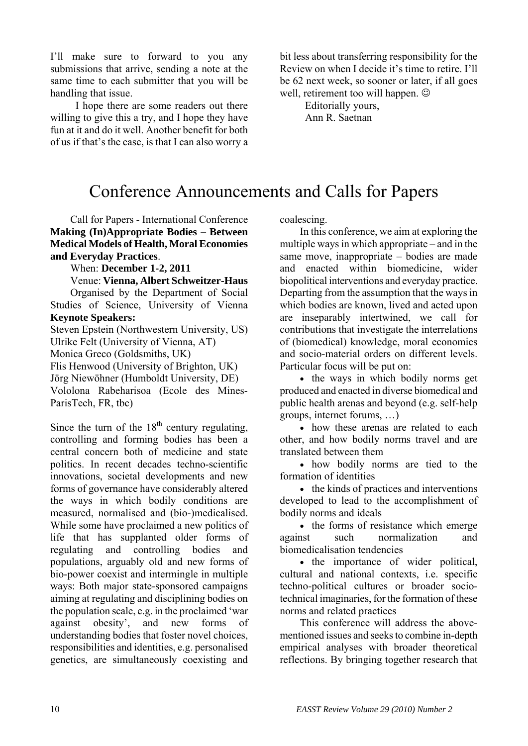I'll make sure to forward to you any submissions that arrive, sending a note at the same time to each submitter that you will be handling that issue.

I hope there are some readers out there willing to give this a try, and I hope they have fun at it and do it well. Another benefit for both of us if that's the case, is that I can also worry a bit less about transferring responsibility for the Review on when I decide it's time to retire. I'll be 62 next week, so sooner or later, if all goes well, retirement too will happen.  $\odot$ 

> Editorially yours, Ann R. Saetnan

# Conference Announcements and Calls for Papers

Call for Papers - International Conference **Making (In)Appropriate Bodies – Between Medical Models of Health, Moral Economies and Everyday Practices**.

When: **December 1-2, 2011**

Venue: **Vienna, Albert Schweitzer-Haus**

Organised by the Department of Social Studies of Science, University of Vienna **Keynote Speakers:** 

Steven Epstein (Northwestern University, US) Ulrike Felt (University of Vienna, AT) Monica Greco (Goldsmiths, UK) Flis Henwood (University of Brighton, UK)

Jörg Niewöhner (Humboldt University, DE) Vololona Rabeharisoa (Ecole des Mines-ParisTech, FR, tbc)

Since the turn of the  $18<sup>th</sup>$  century regulating, controlling and forming bodies has been a central concern both of medicine and state politics. In recent decades techno-scientific innovations, societal developments and new forms of governance have considerably altered the ways in which bodily conditions are measured, normalised and (bio-)medicalised. While some have proclaimed a new politics of life that has supplanted older forms of regulating and controlling bodies and populations, arguably old and new forms of bio-power coexist and intermingle in multiple ways: Both major state-sponsored campaigns aiming at regulating and disciplining bodies on the population scale, e.g. in the proclaimed 'war against obesity', and new forms of understanding bodies that foster novel choices, responsibilities and identities, e.g. personalised genetics, are simultaneously coexisting and

coalescing.

In this conference, we aim at exploring the multiple ways in which appropriate – and in the same move, inappropriate – bodies are made and enacted within biomedicine, wider biopolitical interventions and everyday practice. Departing from the assumption that the ways in which bodies are known, lived and acted upon are inseparably intertwined, we call for contributions that investigate the interrelations of (biomedical) knowledge, moral economies and socio-material orders on different levels. Particular focus will be put on:

• the ways in which bodily norms get produced and enacted in diverse biomedical and public health arenas and beyond (e.g. self-help groups, internet forums, …)

• how these arenas are related to each other, and how bodily norms travel and are translated between them

• how bodily norms are tied to the formation of identities

• the kinds of practices and interventions developed to lead to the accomplishment of bodily norms and ideals

• the forms of resistance which emerge against such normalization and biomedicalisation tendencies

• the importance of wider political, cultural and national contexts, i.e. specific techno-political cultures or broader sociotechnical imaginaries, for the formation of these norms and related practices

This conference will address the abovementioned issues and seeks to combine in-depth empirical analyses with broader theoretical reflections. By bringing together research that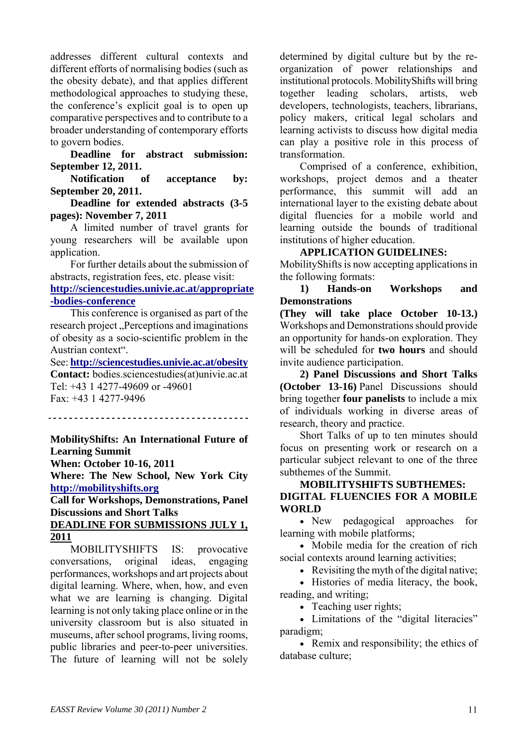addresses different cultural contexts and different efforts of normalising bodies (such as the obesity debate), and that applies different methodological approaches to studying these, the conference's explicit goal is to open up comparative perspectives and to contribute to a broader understanding of contemporary efforts to govern bodies.

**Deadline for abstract submission: September 12, 2011.**

**Notification of acceptance by: September 20, 2011.** 

**Deadline for extended abstracts (3-5 pages): November 7, 2011** 

A limited number of travel grants for young researchers will be available upon application.

For further details about the submission of abstracts, registration fees, etc. please visit: **[http://sciencestudies.univie.ac.at/appropriate](http://sciencestudies.univie.ac.at/appropriate-bodies-conference) [-bodies-conference](http://sciencestudies.univie.ac.at/appropriate-bodies-conference)**

This conference is organised as part of the research project ... Perceptions and imaginations of obesity as a socio-scientific problem in the Austrian context".

See: **<http://sciencestudies.univie.ac.at/obesity> Contact:** bodies.sciencestudies(at)univie.ac.at Tel: +43 1 4277-49609 or -49601 Fax: +43 1 4277-9496

**MobilityShifts: An International Future of Learning Summit When: October 10-16, 2011** 

**Where: The New School, New York City [http://mobilityshifts.org](http://mobilityshifts.org/)**

**Call for Workshops, Demonstrations, Panel Discussions and Short Talks** 

# **DEADLINE FOR SUBMISSIONS JULY 1, 2011**

MOBILITYSHIFTS IS: provocative conversations, original ideas, engaging performances, workshops and art projects about digital learning. Where, when, how, and even what we are learning is changing. Digital learning is not only taking place online or in the university classroom but is also situated in museums, after school programs, living rooms, public libraries and peer-to-peer universities. The future of learning will not be solely determined by digital culture but by the reorganization of power relationships and institutional protocols. MobilityShifts will bring together leading scholars, artists, web developers, technologists, teachers, librarians, policy makers, critical legal scholars and learning activists to discuss how digital media can play a positive role in this process of transformation.

Comprised of a conference, exhibition, workshops, project demos and a theater performance, this summit will add an international layer to the existing debate about digital fluencies for a mobile world and learning outside the bounds of traditional institutions of higher education.

# **APPLICATION GUIDELINES:**

MobilityShifts is now accepting applications in the following formats:

**1) Hands-on Workshops and Demonstrations**

**(They will take place October 10-13.)** Workshops and Demonstrations should provide an opportunity for hands-on exploration. They will be scheduled for **two hours** and should invite audience participation.

**2) Panel Discussions and Short Talks (October 13-16)** Panel Discussions should bring together **four panelists** to include a mix of individuals working in diverse areas of research, theory and practice.

Short Talks of up to ten minutes should focus on presenting work or research on a particular subject relevant to one of the three subthemes of the Summit.

**MOBILITYSHIFTS SUBTHEMES: DIGITAL FLUENCIES FOR A MOBILE WORLD** 

• New pedagogical approaches for learning with mobile platforms;

• Mobile media for the creation of rich social contexts around learning activities;

• Revisiting the myth of the digital native;

• Histories of media literacy, the book, reading, and writing;

• Teaching user rights:

• Limitations of the "digital literacies" paradigm;

• Remix and responsibility; the ethics of database culture;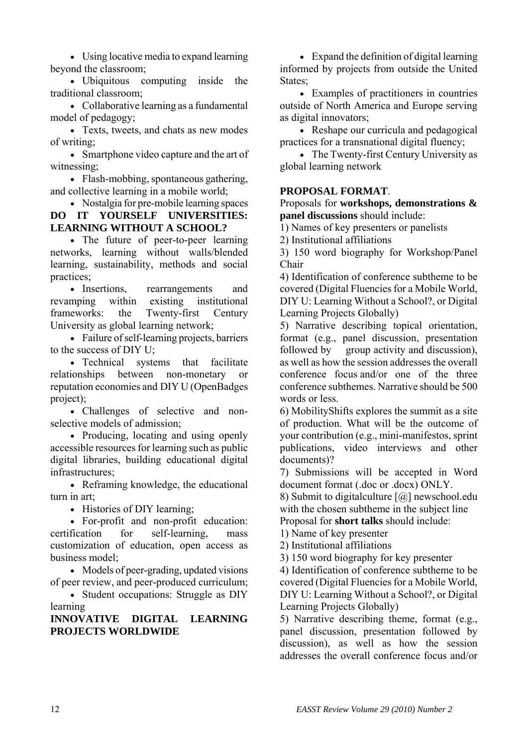• Using locative media to expand learning beyond the classroom;

• Ubiquitous computing inside the traditional classroom;

• Collaborative learning as a fundamental model of pedagogy;

• Texts, tweets, and chats as new modes of writing;

• Smartphone video capture and the art of witnessing;

• Flash-mobbing, spontaneous gathering, and collective learning in a mobile world;

• Nostalgia for pre-mobile learning spaces **DO IT YOURSELF UNIVERSITIES: LEARNING WITHOUT A SCHOOL?**

• The future of peer-to-peer learning networks, learning without walls/blended learning, sustainability, methods and social practices;

• Insertions, rearrangements and revamping within existing institutional frameworks: the Twenty-first Century University as global learning network;

• Failure of self-learning projects, barriers to the success of DIY U;

• Technical systems that facilitate relationships between non-monetary or reputation economies and DIY U (OpenBadges project);

• Challenges of selective and nonselective models of admission;

• Producing, locating and using openly accessible resources for learning such as public digital libraries, building educational digital infrastructures;

• Reframing knowledge, the educational turn in art;

• Histories of DIY learning;

• For-profit and non-profit education: certification for self-learning, mass customization of education, open access as business model;

• Models of peer-grading, updated visions of peer review, and peer-produced curriculum;

• Student occupations: Struggle as DIY learning

## **INNOVATIVE DIGITAL LEARNING PROJECTS WORLDWIDE**

• Expand the definition of digital learning informed by projects from outside the United States:

• Examples of practitioners in countries outside of North America and Europe serving as digital innovators;

• Reshape our curricula and pedagogical practices for a transnational digital fluency;

• The Twenty-first Century University as global learning network

## **PROPOSAL FORMAT**.

Proposals for **workshops, demonstrations & panel discussions** should include:

1) Names of key presenters or panelists

2) Institutional affiliations

3) 150 word biography for Workshop/Panel Chair

4) Identification of conference subtheme to be covered (Digital Fluencies for a Mobile World, DIY U: Learning Without a School?, or Digital Learning Projects Globally)

5) Narrative describing topical orientation, format (e.g., panel discussion, presentation followed by group activity and discussion), as well as how the session addresses the overall conference focus and/or one of the three conference subthemes. Narrative should be 500 words or less.

6) MobilityShifts explores the summit as a site of production. What will be the outcome of your contribution (e.g., mini-manifestos, sprint publications, video interviews and other documents)?

7) Submissions will be accepted in Word document format (.doc or .docx) ONLY.

8) Submit to digitalculture [@] newschool.edu with the chosen subtheme in the subject line Proposal for **short talks** should include:

1) Name of key presenter

2) Institutional affiliations

3) 150 word biography for key presenter

4) Identification of conference subtheme to be covered (Digital Fluencies for a Mobile World, DIY U: Learning Without a School?, or Digital Learning Projects Globally)

5) Narrative describing theme, format (e.g., panel discussion, presentation followed by discussion), as well as how the session addresses the overall conference focus and/or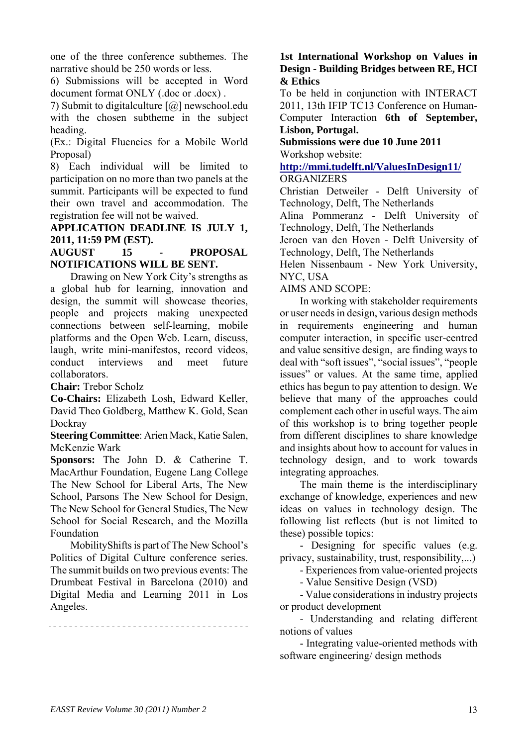one of the three conference subthemes. The narrative should be 250 words or less.

6) Submissions will be accepted in Word document format ONLY (.doc or .docx) .

7) Submit to digitalculture [@] newschool.edu with the chosen subtheme in the subject heading.

(Ex.: Digital Fluencies for a Mobile World Proposal)

8) Each individual will be limited to participation on no more than two panels at the summit. Participants will be expected to fund their own travel and accommodation. The registration fee will not be waived.

**APPLICATION DEADLINE IS JULY 1, 2011, 11:59 PM (EST).**

## **AUGUST 15 - PROPOSAL NOTIFICATIONS WILL BE SENT.**

Drawing on New York City's strengths as a global hub for learning, innovation and design, the summit will showcase theories, people and projects making unexpected connections between self-learning, mobile platforms and the Open Web. Learn, discuss, laugh, write mini-manifestos, record videos, conduct interviews and meet future collaborators.

**Chair:** Trebor Scholz

**Co-Chairs:** Elizabeth Losh, Edward Keller, David Theo Goldberg, Matthew K. Gold, Sean **Dockray** 

**Steering Committee**: Arien Mack, Katie Salen, McKenzie Wark

**Sponsors:** The John D. & Catherine T. MacArthur Foundation, Eugene Lang College The New School for Liberal Arts, The New School, Parsons The New School for Design, The New School for General Studies, The New School for Social Research, and the Mozilla Foundation

MobilityShifts is part of The New School's Politics of Digital Culture conference series. The summit builds on two previous events: The Drumbeat Festival in Barcelona (2010) and Digital Media and Learning 2011 in Los Angeles.

## **1st International Workshop on Values in Design - Building Bridges between RE, HCI & Ethics**

To be held in conjunction with INTERACT 2011, 13th IFIP TC13 Conference on Human-Computer Interaction **6th of September, Lisbon, Portugal.** 

**Submissions were due 10 June 2011**  Workshop website:

# **<http://mmi.tudelft.nl/ValuesInDesign11/> ORGANIZERS**

Christian Detweiler - Delft University of Technology, Delft, The Netherlands

Alina Pommeranz - Delft University of Technology, Delft, The Netherlands

Jeroen van den Hoven - Delft University of Technology, Delft, The Netherlands

Helen Nissenbaum - New York University, NYC, USA

# AIMS AND SCOPE:

In working with stakeholder requirements or user needs in design, various design methods in requirements engineering and human computer interaction, in specific user-centred and value sensitive design, are finding ways to deal with "soft issues", "social issues", "people issues" or values. At the same time, applied ethics has begun to pay attention to design. We believe that many of the approaches could complement each other in useful ways. The aim of this workshop is to bring together people from different disciplines to share knowledge and insights about how to account for values in technology design, and to work towards integrating approaches.

The main theme is the interdisciplinary exchange of knowledge, experiences and new ideas on values in technology design. The following list reflects (but is not limited to these) possible topics:

- Designing for specific values (e.g. privacy, sustainability, trust, responsibility,...)

- Experiences from value-oriented projects

- Value Sensitive Design (VSD)

- Value considerations in industry projects or product development

- Understanding and relating different notions of values

- Integrating value-oriented methods with software engineering/ design methods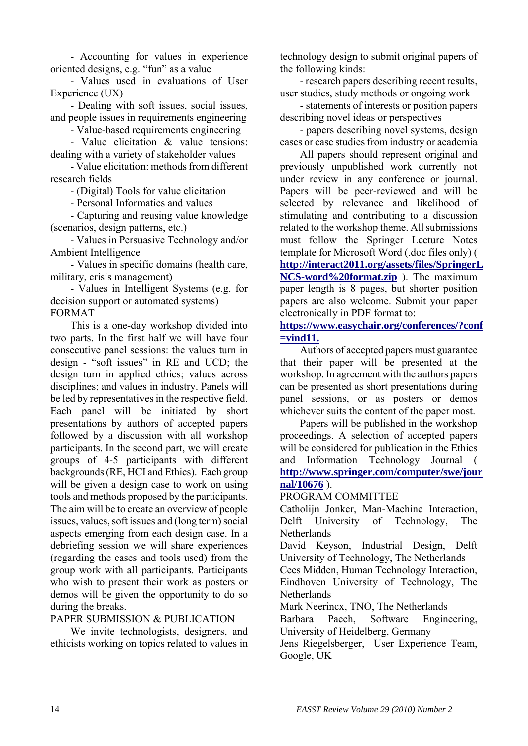- Accounting for values in experience oriented designs, e.g. "fun" as a value

- Values used in evaluations of User Experience (UX)

- Dealing with soft issues, social issues, and people issues in requirements engineering

- Value-based requirements engineering

- Value elicitation & value tensions: dealing with a variety of stakeholder values

- Value elicitation: methods from different research fields

- (Digital) Tools for value elicitation

- Personal Informatics and values

- Capturing and reusing value knowledge (scenarios, design patterns, etc.)

- Values in Persuasive Technology and/or Ambient Intelligence

- Values in specific domains (health care, military, crisis management)

- Values in Intelligent Systems (e.g. for decision support or automated systems)

FORMAT This is a one-day workshop divided into two parts. In the first half we will have four

consecutive panel sessions: the values turn in design - "soft issues" in RE and UCD; the design turn in applied ethics; values across disciplines; and values in industry. Panels will be led by representatives in the respective field. Each panel will be initiated by short presentations by authors of accepted papers followed by a discussion with all workshop participants. In the second part, we will create groups of 4-5 participants with different backgrounds (RE, HCI and Ethics). Each group will be given a design case to work on using tools and methods proposed by the participants. The aim will be to create an overview of people issues, values, soft issues and (long term) social aspects emerging from each design case. In a debriefing session we will share experiences (regarding the cases and tools used) from the group work with all participants. Participants who wish to present their work as posters or demos will be given the opportunity to do so during the breaks.

PAPER SUBMISSION & PUBLICATION

We invite technologists, designers, and ethicists working on topics related to values in technology design to submit original papers of the following kinds:

- research papers describing recent results, user studies, study methods or ongoing work

- statements of interests or position papers describing novel ideas or perspectives

- papers describing novel systems, design cases or case studies from industry or academia

All papers should represent original and previously unpublished work currently not under review in any conference or journal. Papers will be peer-reviewed and will be selected by relevance and likelihood of stimulating and contributing to a discussion related to the workshop theme. All submissions must follow the Springer Lecture Notes template for Microsoft Word (.doc files only) ( **[http://interact2011.org/assets/files/SpringerL](http://interact2011.org/assets/files/SpringerLNCS-word%20format.zip) [NCS-word%20format.zip](http://interact2011.org/assets/files/SpringerLNCS-word%20format.zip)** ). The maximum paper length is 8 pages, but shorter position papers are also welcome. Submit your paper electronically in PDF format to:

**[https://www.easychair.org/conferences/?conf](https://www.easychair.org/conferences/?conf=vind11.) [=vind11.](https://www.easychair.org/conferences/?conf=vind11.)**

Authors of accepted papers must guarantee that their paper will be presented at the workshop. In agreement with the authors papers can be presented as short presentations during panel sessions, or as posters or demos whichever suits the content of the paper most.

Papers will be published in the workshop proceedings. A selection of accepted papers will be considered for publication in the Ethics and Information Technology Journal ( **[http://www.springer.com/computer/swe/jour](http://www.springer.com/computer/swe/journal/10676) [nal/10676](http://www.springer.com/computer/swe/journal/10676)** ).

PROGRAM COMMITTEE

Catholijn Jonker, Man-Machine Interaction, Delft University of Technology, The **Netherlands** 

David Keyson, Industrial Design, Delft University of Technology, The Netherlands

Cees Midden, Human Technology Interaction, Eindhoven University of Technology, The **Netherlands** 

Mark Neerincx, TNO, The Netherlands

Barbara Paech, Software Engineering, University of Heidelberg, Germany

Jens Riegelsberger, User Experience Team, Google, UK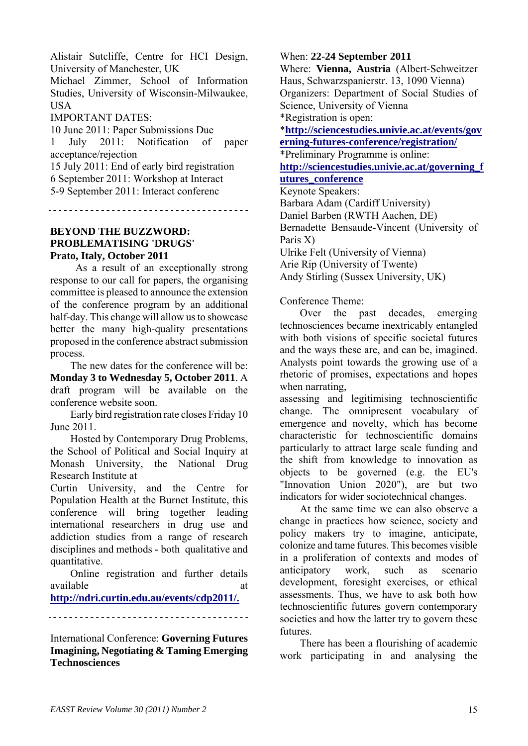Alistair Sutcliffe, Centre for HCI Design, University of Manchester, UK Michael Zimmer, School of Information Studies, University of Wisconsin-Milwaukee, **USA** 

IMPORTANT DATES:

10 June 2011: Paper Submissions Due 1 July 2011: Notification of paper acceptance/rejection 15 July 2011: End of early bird registration 6 September 2011: Workshop at Interact 5-9 September 2011: Interact conferenc

#### **BEYOND THE BUZZWORD: PROBLEMATISING 'DRUGS' Prato, Italy, October 2011**

 As a result of an exceptionally strong response to our call for papers, the organising committee is pleased to announce the extension of the conference program by an additional half-day. This change will allow us to showcase better the many high-quality presentations proposed in the conference abstract submission process.

The new dates for the conference will be: **Monday 3 to Wednesday 5, October 2011**. A draft program will be available on the conference website soon.

Early bird registration rate closes Friday 10 June 2011.

Hosted by Contemporary Drug Problems, the School of Political and Social Inquiry at Monash University, the National Drug Research Institute at

Curtin University, and the Centre for Population Health at the Burnet Institute, this conference will bring together leading international researchers in drug use and addiction studies from a range of research disciplines and methods - both qualitative and quantitative.

Online registration and further details available at a state at a state at a state at a state at a state at a state at a state at a state at a state at  $\alpha$ 

**[http://ndri.curtin.edu.au/events/cdp2011/.](http://ndri.curtin.edu.au/events/cdp2011/)**

International Conference: **Governing Futures Imagining, Negotiating & Taming Emerging Technosciences**

When: **22-24 September 2011**

Where: **Vienna, Austria** (Albert-Schweitzer Haus, Schwarzspanierstr. 13, 1090 Vienna) Organizers: Department of Social Studies of Science, University of Vienna \*Registration is open:

\***[http://sciencestudies.univie.ac.at/events/gov](http://sciencestudies.univie.ac.at/events/governing-futures-conference/registration/)**

**[erning-futures-conference/registration/](http://sciencestudies.univie.ac.at/events/governing-futures-conference/registration/)**

\*Preliminary Programme is online: **[http://sciencestudies.univie.ac.at/governing\\_f](http://sciencestudies.univie.ac.at/governing_futures_conference)**

# **[utures\\_conference](http://sciencestudies.univie.ac.at/governing_futures_conference)**

Keynote Speakers: Barbara Adam (Cardiff University) Daniel Barben (RWTH Aachen, DE) Bernadette Bensaude-Vincent (University of Paris X) Ulrike Felt (University of Vienna) Arie Rip (University of Twente) Andy Stirling (Sussex University, UK)

# Conference Theme:

Over the past decades, emerging technosciences became inextricably entangled with both visions of specific societal futures and the ways these are, and can be, imagined. Analysts point towards the growing use of a rhetoric of promises, expectations and hopes when narrating,

assessing and legitimising technoscientific change. The omnipresent vocabulary of emergence and novelty, which has become characteristic for technoscientific domains particularly to attract large scale funding and the shift from knowledge to innovation as objects to be governed (e.g. the EU's "Innovation Union 2020"), are but two indicators for wider sociotechnical changes.

At the same time we can also observe a change in practices how science, society and policy makers try to imagine, anticipate, colonize and tame futures. This becomes visible in a proliferation of contexts and modes of anticipatory work, such as scenario development, foresight exercises, or ethical assessments. Thus, we have to ask both how technoscientific futures govern contemporary societies and how the latter try to govern these futures.

There has been a flourishing of academic work participating in and analysing the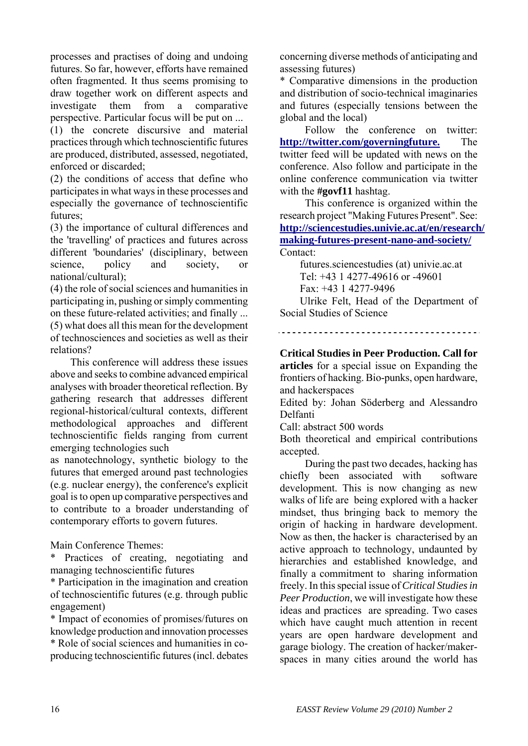processes and practises of doing and undoing futures. So far, however, efforts have remained often fragmented. It thus seems promising to draw together work on different aspects and investigate them from a comparative perspective. Particular focus will be put on ...

(1) the concrete discursive and material practices through which technoscientific futures are produced, distributed, assessed, negotiated, enforced or discarded;

(2) the conditions of access that define who participates in what ways in these processes and especially the governance of technoscientific futures;

(3) the importance of cultural differences and the 'travelling' of practices and futures across different 'boundaries' (disciplinary, between science, policy and society, or national/cultural);

(4) the role of social sciences and humanities in participating in, pushing or simply commenting on these future-related activities; and finally ...

(5) what does all this mean for the development of technosciences and societies as well as their relations?

This conference will address these issues above and seeks to combine advanced empirical analyses with broader theoretical reflection. By gathering research that addresses different regional-historical/cultural contexts, different methodological approaches and different technoscientific fields ranging from current emerging technologies such

as nanotechnology, synthetic biology to the futures that emerged around past technologies (e.g. nuclear energy), the conference's explicit goal is to open up comparative perspectives and to contribute to a broader understanding of contemporary efforts to govern futures.

Main Conference Themes:

\* Practices of creating, negotiating and managing technoscientific futures

\* Participation in the imagination and creation of technoscientific futures (e.g. through public engagement)

\* Impact of economies of promises/futures on knowledge production and innovation processes

\* Role of social sciences and humanities in coproducing technoscientific futures (incl. debates concerning diverse methods of anticipating and assessing futures)

\* Comparative dimensions in the production and distribution of socio-technical imaginaries and futures (especially tensions between the global and the local)

 Follow the conference on twitter: **<http://twitter.com/governingfuture.>** The twitter feed will be updated with news on the conference. Also follow and participate in the online conference communication via twitter with the **#govf11** hashtag.

 This conference is organized within the research project "Making Futures Present". See: **[http://sciencestudies.univie.ac.at/en/research/](http://sciencestudies.univie.ac.at/en/research/making-futures-present-nano-and-society/) [making-futures-present-nano-and-society/](http://sciencestudies.univie.ac.at/en/research/making-futures-present-nano-and-society/)** Contact:

futures.sciencestudies (at) univie.ac.at Tel: +43 1 4277-49616 or -49601 Fax: +43 1 4277-9496

Ulrike Felt, Head of the Department of Social Studies of Science

**Critical Studies in Peer Production. Call for articles** for a special issue on Expanding the frontiers of hacking. Bio-punks, open hardware, and hackerspaces

Edited by: Johan Söderberg and Alessandro Delfanti

Call: abstract 500 words

Both theoretical and empirical contributions accepted.

 During the past two decades, hacking has chiefly been associated with software development. This is now changing as new walks of life are being explored with a hacker mindset, thus bringing back to memory the origin of hacking in hardware development. Now as then, the hacker is characterised by an active approach to technology, undaunted by hierarchies and established knowledge, and finally a commitment to sharing information freely. In this special issue of *Critical Studies in Peer Production*, we will investigate how these ideas and practices are spreading. Two cases which have caught much attention in recent years are open hardware development and garage biology. The creation of hacker/makerspaces in many cities around the world has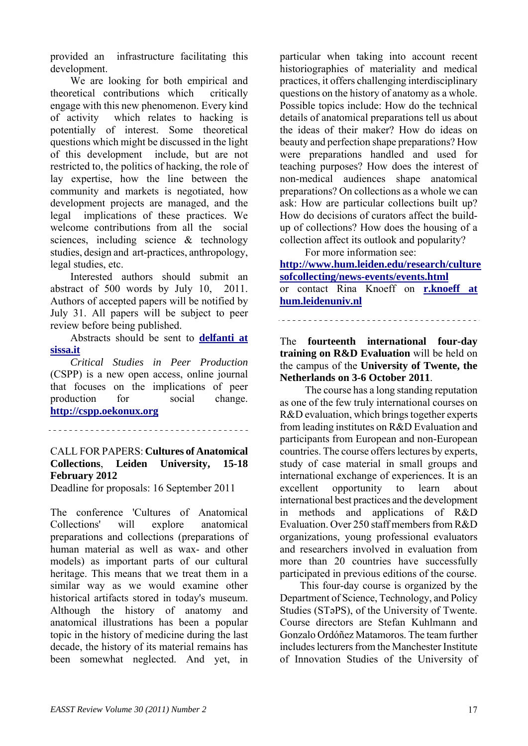provided an infrastructure facilitating this development.

We are looking for both empirical and theoretical contributions which critically engage with this new phenomenon. Every kind of activity which relates to hacking is potentially of interest. Some theoretical questions which might be discussed in the light of this development include, but are not restricted to, the politics of hacking, the role of lay expertise, how the line between the community and markets is negotiated, how development projects are managed, and the legal implications of these practices. We welcome contributions from all the social sciences, including science & technology studies, design and art-practices, anthropology, legal studies, etc.

Interested authors should submit an abstract of 500 words by July 10, 2011. Authors of accepted papers will be notified by July 31. All papers will be subject to peer review before being published.

Abstracts should be sent to **[delfanti at](http://lists.easst.net/listinfo.cgi/eurograd-easst.net)  [sissa.it](http://lists.easst.net/listinfo.cgi/eurograd-easst.net)**

*Critical Studies in Peer Production* (CSPP) is a new open access, online journal that focuses on the implications of peer production for social change. **[http://cspp.oekonux.org](http://cspp.oekonux.org/)**

# CALL FOR PAPERS: **Cultures of Anatomical Collections**, **Leiden University, 15-18 February 2012**

Deadline for proposals: 16 September 2011

The conference 'Cultures of Anatomical Collections' will explore anatomical preparations and collections (preparations of human material as well as wax- and other models) as important parts of our cultural heritage. This means that we treat them in a similar way as we would examine other historical artifacts stored in today's museum. Although the history of anatomy and anatomical illustrations has been a popular topic in the history of medicine during the last decade, the history of its material remains has been somewhat neglected. And yet, in particular when taking into account recent historiographies of materiality and medical practices, it offers challenging interdisciplinary questions on the history of anatomy as a whole. Possible topics include: How do the technical details of anatomical preparations tell us about the ideas of their maker? How do ideas on beauty and perfection shape preparations? How were preparations handled and used for teaching purposes? How does the interest of non-medical audiences shape anatomical preparations? On collections as a whole we can ask: How are particular collections built up? How do decisions of curators affect the buildup of collections? How does the housing of a collection affect its outlook and popularity?

For more information see:

**[http://www.hum.leiden.edu/research/culture](http://www.hum.leiden.edu/research/culturesofcollecting/news-events/events.html) [sofcollecting/news-events/events.html](http://www.hum.leiden.edu/research/culturesofcollecting/news-events/events.html)** or contact Rina Knoeff on **[r.knoeff at](http://lists.easst.net/listinfo.cgi/eurograd-easst.net)  [hum.leidenuniv.nl](http://lists.easst.net/listinfo.cgi/eurograd-easst.net)**

The **fourteenth international four-day training on R&D Evaluation** will be held on the campus of the **University of Twente, the Netherlands on 3-6 October 2011**.

 The course has a long standing reputation as one of the few truly international courses on R&D evaluation, which brings together experts from leading institutes on R&D Evaluation and participants from European and non-European countries. The course offers lectures by experts, study of case material in small groups and international exchange of experiences. It is an excellent opportunity to learn about international best practices and the development in methods and applications of R&D Evaluation. Over 250 staff members from R&D organizations, young professional evaluators and researchers involved in evaluation from more than 20 countries have successfully participated in previous editions of the course.

This four-day course is organized by the Department of Science, Technology, and Policy Studies (STəPS), of the University of Twente. Course directors are Stefan Kuhlmann and Gonzalo Ordóñez Matamoros. The team further includes lecturers from the Manchester Institute of Innovation Studies of the University of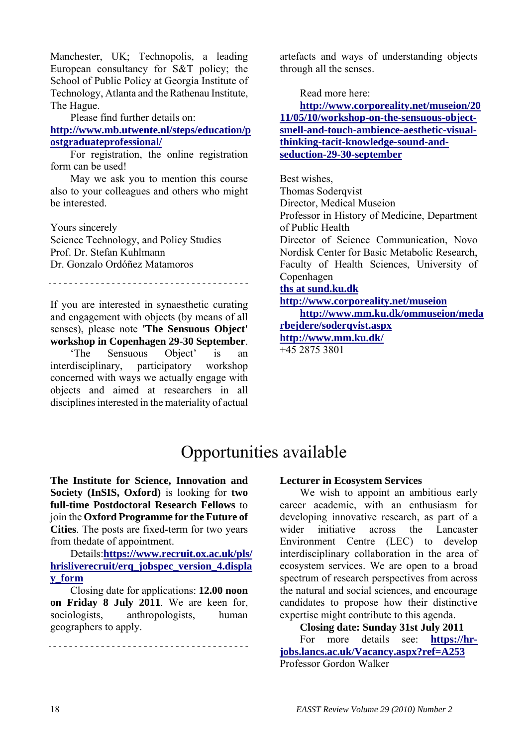Manchester, UK; Technopolis, a leading European consultancy for S&T policy; the School of Public Policy at Georgia Institute of Technology, Atlanta and the Rathenau Institute, The Hague.

Please find further details on:

**[http://www.mb.utwente.nl/steps/education/p](http://www.mb.utwente.nl/steps/education/postgraduateprofessional/) [ostgraduateprofessional/](http://www.mb.utwente.nl/steps/education/postgraduateprofessional/)**

For registration, the online registration form can be used!

May we ask you to mention this course also to your colleagues and others who might be interested.

Yours sincerely Science Technology, and Policy Studies Prof. Dr. Stefan Kuhlmann Dr. Gonzalo Ordóñez Matamoros

If you are interested in synaesthetic curating and engagement with objects (by means of all senses), please note **'The Sensuous Object' workshop in Copenhagen 29-30 September**.

'The Sensuous Object' is an interdisciplinary, participatory workshop concerned with ways we actually engage with objects and aimed at researchers in all disciplines interested in the materiality of actual artefacts and ways of understanding objects through all the senses.

Read more here:

**[http://www.corporeality.net/museion/20](http://www.corporeality.net/museion/2011/05/10/workshop-on-the-sensuous-object-smell-and-touch-ambience-aesthetic-visual-thinking-tacit-knowledge-sound-and-seduction-29-30-september) [11/05/10/workshop-on-the-sensuous-object](http://www.corporeality.net/museion/2011/05/10/workshop-on-the-sensuous-object-smell-and-touch-ambience-aesthetic-visual-thinking-tacit-knowledge-sound-and-seduction-29-30-september)[smell-and-touch-ambience-aesthetic-visual](http://www.corporeality.net/museion/2011/05/10/workshop-on-the-sensuous-object-smell-and-touch-ambience-aesthetic-visual-thinking-tacit-knowledge-sound-and-seduction-29-30-september)[thinking-tacit-knowledge-sound-and](http://www.corporeality.net/museion/2011/05/10/workshop-on-the-sensuous-object-smell-and-touch-ambience-aesthetic-visual-thinking-tacit-knowledge-sound-and-seduction-29-30-september)[seduction-29-30-september](http://www.corporeality.net/museion/2011/05/10/workshop-on-the-sensuous-object-smell-and-touch-ambience-aesthetic-visual-thinking-tacit-knowledge-sound-and-seduction-29-30-september)**

Best wishes, Thomas Soderqvist Director, Medical Museion Professor in History of Medicine, Department of Public Health Director of Science Communication, Novo Nordisk Center for Basic Metabolic Research, Faculty of Health Sciences, University of Copenhagen **[ths at sund.ku.dk](http://lists.easst.net/listinfo.cgi/eurograd-easst.net) <http://www.corporeality.net/museion>**

**[http://www.mm.ku.dk/ommuseion/meda](http://www.mm.ku.dk/ommuseion/medarbejdere/soderqvist.aspxhttp://www.mm.ku.dk/) [rbejdere/soderqvist.aspx](http://www.mm.ku.dk/ommuseion/medarbejdere/soderqvist.aspxhttp://www.mm.ku.dk/) [http://www.mm.ku.dk/](http://www.mm.ku.dk/ommuseion/medarbejdere/soderqvist.aspxhttp://www.mm.ku.dk/)**

+45 2875 3801

# Opportunities available

**The Institute for Science, Innovation and Society (InSIS, Oxford)** is looking for **two full-time Postdoctoral Research Fellows** to join the **Oxford Programme for the Future of Cities**. The posts are fixed-term for two years from thedate of appointment.

Details:**[https://www.recruit.ox.ac.uk/pls/](https://www.recruit.ox.ac.uk/pls/hrisliverecruit/erq_jobspec_version_4.display_form) [hrisliverecruit/erq\\_jobspec\\_version\\_4.displa](https://www.recruit.ox.ac.uk/pls/hrisliverecruit/erq_jobspec_version_4.display_form) [y\\_form](https://www.recruit.ox.ac.uk/pls/hrisliverecruit/erq_jobspec_version_4.display_form)**

Closing date for applications: **12.00 noon on Friday 8 July 2011**. We are keen for, sociologists, anthropologists, human geographers to apply.

#### 

#### **Lecturer in Ecosystem Services**

We wish to appoint an ambitious early career academic, with an enthusiasm for developing innovative research, as part of a wider initiative across the Lancaster Environment Centre (LEC) to develop interdisciplinary collaboration in the area of ecosystem services. We are open to a broad spectrum of research perspectives from across the natural and social sciences, and encourage candidates to propose how their distinctive expertise might contribute to this agenda.

**Closing date: Sunday 31st July 2011** 

For more details see: **[https://hr](https://hr-jobs.lancs.ac.uk/Vacancy.aspx?ref=A253)[jobs.lancs.ac.uk/Vacancy.aspx?ref=A253](https://hr-jobs.lancs.ac.uk/Vacancy.aspx?ref=A253)** Professor Gordon Walker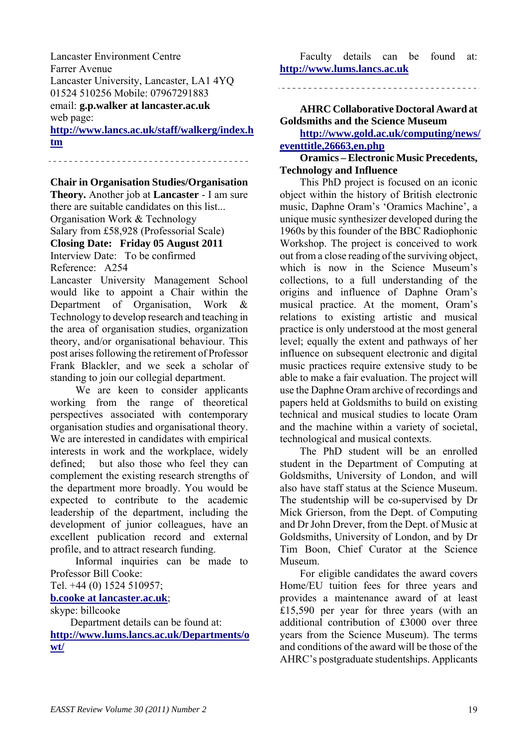Lancaster Environment Centre Farrer Avenue Lancaster University, Lancaster, LA1 4YQ 01524 510256 Mobile: 07967291883 email: **g.p.walker at lancaster.ac.uk** web page:

**[http://www.lancs.ac.uk/staff/walkerg/index.h](http://www.lancs.ac.uk/staff/walkerg/index.htm) [tm](http://www.lancs.ac.uk/staff/walkerg/index.htm)**

**Chair in Organisation Studies/Organisation** 

**Theory.** Another job at **Lancaster** - I am sure there are suitable candidates on this list... Organisation Work & Technology

Salary from £58,928 (Professorial Scale)

**Closing Date: Friday 05 August 2011** 

Interview Date: To be confirmed Reference: A254

Lancaster University Management School would like to appoint a Chair within the Department of Organisation, Work & Technology to develop research and teaching in the area of organisation studies, organization theory, and/or organisational behaviour. This post arises following the retirement of Professor Frank Blackler, and we seek a scholar of standing to join our collegial department.

 We are keen to consider applicants working from the range of theoretical perspectives associated with contemporary organisation studies and organisational theory. We are interested in candidates with empirical interests in work and the workplace, widely defined; but also those who feel they can complement the existing research strengths of the department more broadly. You would be expected to contribute to the academic leadership of the department, including the development of junior colleagues, have an excellent publication record and external profile, and to attract research funding.

 Informal inquiries can be made to Professor Bill Cooke:

Tel. +44 (0) 1524 510957;

**[b.cooke at lancaster.ac.uk](http://lists.easst.net/listinfo.cgi/eurograd-easst.net)**;

skype: billcooke

Department details can be found at:

**[http://www.lums.lancs.ac.uk/Departments/o](http://www.lums.lancs.ac.uk/Departments/owt/) [wt/](http://www.lums.lancs.ac.uk/Departments/owt/)**

Faculty details can be found at: **[http://www.lums.lancs.ac.uk](http://www.lums.lancs.ac.uk/)**

# **AHRC Collaborative Doctoral Award at Goldsmiths and the Science Museum**

**[http://www.gold.ac.uk/computing/news/](http://www.gold.ac.uk/computing/news/eventtitle,26663,en.php) [eventtitle,26663,en.php](http://www.gold.ac.uk/computing/news/eventtitle,26663,en.php)**

**Oramics – Electronic Music Precedents, Technology and Influence** 

This PhD project is focused on an iconic object within the history of British electronic music, Daphne Oram's 'Oramics Machine', a unique music synthesizer developed during the 1960s by this founder of the BBC Radiophonic Workshop. The project is conceived to work out from a close reading of the surviving object, which is now in the Science Museum's collections, to a full understanding of the origins and influence of Daphne Oram's musical practice. At the moment, Oram's relations to existing artistic and musical practice is only understood at the most general level; equally the extent and pathways of her influence on subsequent electronic and digital music practices require extensive study to be able to make a fair evaluation. The project will use the Daphne Oram archive of recordings and papers held at Goldsmiths to build on existing technical and musical studies to locate Oram and the machine within a variety of societal, technological and musical contexts.

The PhD student will be an enrolled student in the Department of Computing at Goldsmiths, University of London, and will also have staff status at the Science Museum. The studentship will be co-supervised by Dr Mick Grierson, from the Dept. of Computing and Dr John Drever, from the Dept. of Music at Goldsmiths, University of London, and by Dr Tim Boon, Chief Curator at the Science Museum.

For eligible candidates the award covers Home/EU tuition fees for three years and provides a maintenance award of at least £15,590 per year for three years (with an additional contribution of £3000 over three years from the Science Museum). The terms and conditions of the award will be those of the AHRC's postgraduate studentships. Applicants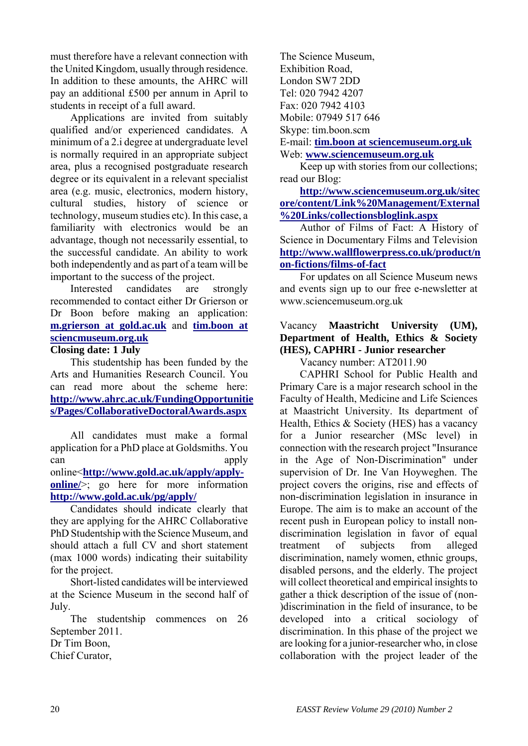must therefore have a relevant connection with the United Kingdom, usually through residence. In addition to these amounts, the AHRC will pay an additional £500 per annum in April to students in receipt of a full award.

Applications are invited from suitably qualified and/or experienced candidates. A minimum of a 2.i degree at undergraduate level is normally required in an appropriate subject area, plus a recognised postgraduate research degree or its equivalent in a relevant specialist area (e.g. music, electronics, modern history, cultural studies, history of science or technology, museum studies etc). In this case, a familiarity with electronics would be an advantage, though not necessarily essential, to the successful candidate. An ability to work both independently and as part of a team will be important to the success of the project.

Interested candidates are strongly recommended to contact either Dr Grierson or Dr Boon before making an application: **[m.grierson at gold.ac.uk](http://lists.easst.net/listinfo.cgi/eurograd-easst.net)** and **[tim.boon at](http://lists.easst.net/listinfo.cgi/eurograd-easst.net)  [sciencmuseum.org.uk](http://lists.easst.net/listinfo.cgi/eurograd-easst.net)**

# **Closing date: 1 July**

This studentship has been funded by the Arts and Humanities Research Council. You can read more about the scheme here: **[http://www.ahrc.ac.uk/FundingOpportunitie](http://www.ahrc.ac.uk/FundingOpportunities/Pages/CollaborativeDoctoralAwards.aspx) [s/Pages/CollaborativeDoctoralAwards.aspx](http://www.ahrc.ac.uk/FundingOpportunities/Pages/CollaborativeDoctoralAwards.aspx)**

All candidates must make a formal application for a PhD place at Goldsmiths. You can apply online<**[http://www.gold.ac.uk/apply/apply](http://www.gold.ac.uk/apply/apply-online/)online**/>; go here for more information **<http://www.gold.ac.uk/pg/apply/>**

Candidates should indicate clearly that they are applying for the AHRC Collaborative PhD Studentship with the Science Museum, and should attach a full CV and short statement (max 1000 words) indicating their suitability for the project.

Short-listed candidates will be interviewed at the Science Museum in the second half of July.

The studentship commences on 26 September 2011.

Dr Tim Boon,

Chief Curator,

The Science Museum, Exhibition Road, London SW7 2DD Tel: 020 7942 4207 Fax: 020 7942 4103 Mobile: 07949 517 646 Skype: tim.boon.scm E-mail: **[tim.boon at sciencemuseum.org.uk](http://lists.easst.net/listinfo.cgi/eurograd-easst.net)**

Web: **[www.sciencemuseum.org.uk](http://www.sciencemuseum.org.uk/)**

Keep up with stories from our collections; read our Blog:

**[http://www.sciencemuseum.org.uk/sitec](http://www.sciencemuseum.org.uk/sitecore/content/Link%20Management/External%20Links/collectionsbloglink.aspx) [ore/content/Link%20Management/External](http://www.sciencemuseum.org.uk/sitecore/content/Link%20Management/External%20Links/collectionsbloglink.aspx) [%20Links/collectionsbloglink.aspx](http://www.sciencemuseum.org.uk/sitecore/content/Link%20Management/External%20Links/collectionsbloglink.aspx)**

Author of Films of Fact: A History of Science in Documentary Films and Television **[http://www.wallflowerpress.co.uk/product/n](http://www.wallflowerpress.co.uk/product/non-fictions/films-of-fact) [on-fictions/films-of-fact](http://www.wallflowerpress.co.uk/product/non-fictions/films-of-fact)**

For updates on all Science Museum news and events sign up to our free e-newsletter at www.sciencemuseum.org.uk

# Vacancy **Maastricht University (UM), Department of Health, Ethics & Society (HES), CAPHRI - Junior researcher**

Vacancy number: AT2011.90

CAPHRI School for Public Health and Primary Care is a major research school in the Faculty of Health, Medicine and Life Sciences at Maastricht University. Its department of Health, Ethics & Society (HES) has a vacancy for a Junior researcher (MSc level) in connection with the research project "Insurance in the Age of Non-Discrimination" under supervision of Dr. Ine Van Hoyweghen. The project covers the origins, rise and effects of non-discrimination legislation in insurance in Europe. The aim is to make an account of the recent push in European policy to install nondiscrimination legislation in favor of equal treatment of subjects from alleged discrimination, namely women, ethnic groups, disabled persons, and the elderly. The project will collect theoretical and empirical insights to gather a thick description of the issue of (non- )discrimination in the field of insurance, to be developed into a critical sociology of discrimination. In this phase of the project we are looking for a junior-researcher who, in close collaboration with the project leader of the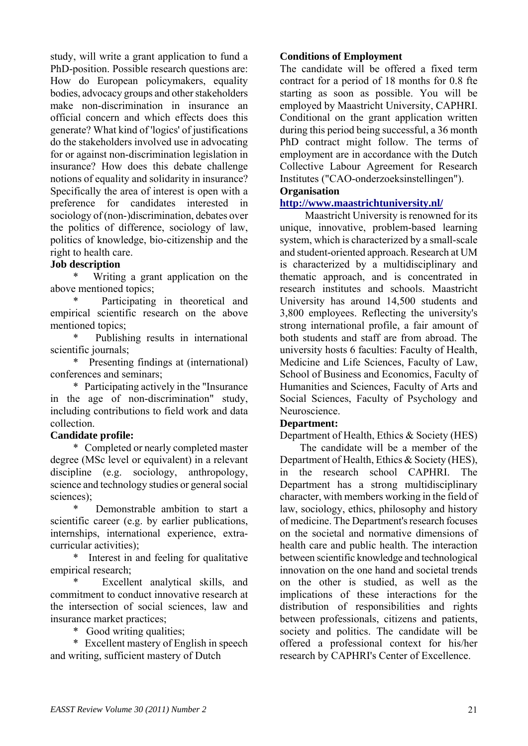study, will write a grant application to fund a PhD-position. Possible research questions are: How do European policymakers, equality bodies, advocacy groups and other stakeholders make non-discrimination in insurance an official concern and which effects does this generate? What kind of 'logics' of justifications do the stakeholders involved use in advocating for or against non-discrimination legislation in insurance? How does this debate challenge notions of equality and solidarity in insurance? Specifically the area of interest is open with a preference for candidates interested in sociology of (non-)discrimination, debates over the politics of difference, sociology of law, politics of knowledge, bio-citizenship and the right to health care.

# **Job description**

Writing a grant application on the above mentioned topics;

Participating in theoretical and empirical scientific research on the above mentioned topics;

Publishing results in international scientific journals;

 \* Presenting findings at (international) conferences and seminars;

 \* Participating actively in the "Insurance in the age of non-discrimination" study, including contributions to field work and data collection.

# **Candidate profile:**

 \* Completed or nearly completed master degree (MSc level or equivalent) in a relevant discipline (e.g. sociology, anthropology, science and technology studies or general social sciences);

Demonstrable ambition to start a scientific career (e.g. by earlier publications, internships, international experience, extracurricular activities);

 \* Interest in and feeling for qualitative empirical research;

Excellent analytical skills, and commitment to conduct innovative research at the intersection of social sciences, law and insurance market practices;

\* Good writing qualities;

 \* Excellent mastery of English in speech and writing, sufficient mastery of Dutch

#### **Conditions of Employment**

The candidate will be offered a fixed term contract for a period of 18 months for 0.8 fte starting as soon as possible. You will be employed by Maastricht University, CAPHRI. Conditional on the grant application written during this period being successful, a 36 month PhD contract might follow. The terms of employment are in accordance with the Dutch Collective Labour Agreement for Research Institutes ("CAO-onderzoeksinstellingen").

## **Organisation**

## **<http://www.maastrichtuniversity.nl/>**

 Maastricht University is renowned for its unique, innovative, problem-based learning system, which is characterized by a small-scale and student-oriented approach. Research at UM is characterized by a multidisciplinary and thematic approach, and is concentrated in research institutes and schools. Maastricht University has around 14,500 students and 3,800 employees. Reflecting the university's strong international profile, a fair amount of both students and staff are from abroad. The university hosts 6 faculties: Faculty of Health, Medicine and Life Sciences, Faculty of Law, School of Business and Economics, Faculty of Humanities and Sciences, Faculty of Arts and Social Sciences, Faculty of Psychology and Neuroscience.

#### **Department:**

Department of Health, Ethics & Society (HES)

The candidate will be a member of the Department of Health, Ethics & Society (HES), in the research school CAPHRI. The Department has a strong multidisciplinary character, with members working in the field of law, sociology, ethics, philosophy and history of medicine. The Department's research focuses on the societal and normative dimensions of health care and public health. The interaction between scientific knowledge and technological innovation on the one hand and societal trends on the other is studied, as well as the implications of these interactions for the distribution of responsibilities and rights between professionals, citizens and patients, society and politics. The candidate will be offered a professional context for his/her research by CAPHRI's Center of Excellence.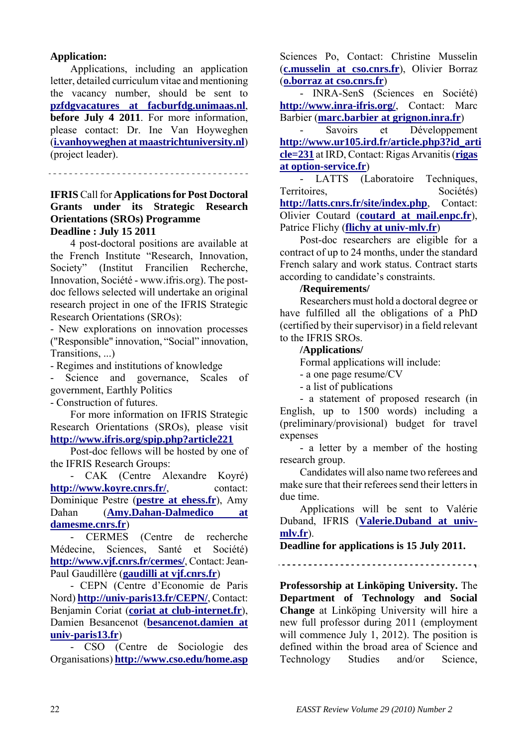# **Application:**

Applications, including an application letter, detailed curriculum vitae and mentioning the vacancy number, should be sent to **[pzfdgvacatures at facburfdg.unimaas.nl](http://lists.easst.net/listinfo.cgi/eurograd-easst.net)**, **before July 4 2011**. For more information, please contact: Dr. Ine Van Hoyweghen (**[i.vanhoyweghen at maastrichtuniversity.nl](http://lists.easst.net/listinfo.cgi/eurograd-easst.net)**) (project leader).

#### **IFRIS** Call for **Applications for Post Doctoral Grants under its Strategic Research Orientations (SROs) Programme Deadline : July 15 2011**

4 post-doctoral positions are available at the French Institute "Research, Innovation, Society" (Institut Francilien Recherche, Innovation, Société - www.ifris.org). The postdoc fellows selected will undertake an original research project in one of the IFRIS Strategic Research Orientations (SROs):

- New explorations on innovation processes ("Responsible" innovation, "Social" innovation, Transitions, ...)

- Regimes and institutions of knowledge

- Science and governance, Scales of government, Earthly Politics

- Construction of futures.

For more information on IFRIS Strategic Research Orientations (SROs), please visit **<http://www.ifris.org/spip.php?article221>**

Post-doc fellows will be hosted by one of the IFRIS Research Groups:

- CAK (Centre Alexandre Koyré) **<http://www.koyre.cnrs.fr/>**, contact: Dominique Pestre (**[pestre at ehess.fr](http://lists.easst.net/listinfo.cgi/eurograd-easst.net)**), Amy Dahan (**[Amy.Dahan-Dalmedico at](http://lists.easst.net/listinfo.cgi/eurograd-easst.net)  [damesme.cnrs.fr](http://lists.easst.net/listinfo.cgi/eurograd-easst.net)**)

- CERMES (Centre de recherche Médecine, Sciences, Santé et Société) **<http://www.vjf.cnrs.fr/cermes/>**, Contact: Jean-Paul Gaudillère (**[gaudilli at vjf.cnrs.fr](http://lists.easst.net/listinfo.cgi/eurograd-easst.net)**)

- CEPN (Centre d'Economie de Paris Nord) **<http://univ-paris13.fr/CEPN/>**, Contact: Benjamin Coriat (**[coriat at club-internet.fr](http://lists.easst.net/listinfo.cgi/eurograd-easst.net)**), Damien Besancenot (**[besancenot.damien at](http://lists.easst.net/listinfo.cgi/eurograd-easst.net)  [univ-paris13.fr](http://lists.easst.net/listinfo.cgi/eurograd-easst.net)**)

- CSO (Centre de Sociologie des Organisations) **<http://www.cso.edu/home.asp>** Sciences Po, Contact: Christine Musselin (**[c.musselin at cso.cnrs.fr](http://lists.easst.net/listinfo.cgi/eurograd-easst.net)**), Olivier Borraz (**[o.borraz at cso.cnrs.fr](http://lists.easst.net/listinfo.cgi/eurograd-easst.net)**)

- INRA-SenS (Sciences en Société) **<http://www.inra-ifris.org/>**, Contact: Marc Barbier (**[marc.barbier at grignon.inra.fr](http://lists.easst.net/listinfo.cgi/eurograd-easst.net)**)

- Savoirs et Développement **[http://www.ur105.ird.fr/article.php3?id\\_arti](http://www.ur105.ird.fr/article.php3?id_article=231) [cle=231](http://www.ur105.ird.fr/article.php3?id_article=231)** at IRD, Contact: Rigas Arvanitis (**[rigas](http://lists.easst.net/listinfo.cgi/eurograd-easst.net)  [at option-service.fr](http://lists.easst.net/listinfo.cgi/eurograd-easst.net)**)

- LATTS (Laboratoire Techniques, Territoires, Sociétés) **<http://latts.cnrs.fr/site/index.php>**, Contact: Olivier Coutard (**[coutard at mail.enpc.fr](http://lists.easst.net/listinfo.cgi/eurograd-easst.net)**), Patrice Flichy (**[flichy at univ-mlv.fr](http://lists.easst.net/listinfo.cgi/eurograd-easst.net)**)

Post-doc researchers are eligible for a contract of up to 24 months, under the standard French salary and work status. Contract starts according to candidate's constraints.

#### **/Requirements/**

Researchers must hold a doctoral degree or have fulfilled all the obligations of a PhD (certified by their supervisor) in a field relevant to the IFRIS SROs.

#### **/Applications/**

Formal applications will include:

- a one page resume/CV

- a list of publications

- a statement of proposed research (in English, up to 1500 words) including a (preliminary/provisional) budget for travel expenses

- a letter by a member of the hosting research group.

Candidates will also name two referees and make sure that their referees send their letters in due time.

Applications will be sent to Valérie Duband, IFRIS (**[Valerie.Duband at univ](http://lists.easst.net/listinfo.cgi/eurograd-easst.net)[mlv.fr](http://lists.easst.net/listinfo.cgi/eurograd-easst.net)**).

**Deadline for applications is 15 July 2011.** 

**Professorship at Linköping University.** The **Department of Technology and Social Change** at Linköping University will hire a new full professor during 2011 (employment will commence July 1, 2012). The position is defined within the broad area of Science and Technology Studies and/or Science,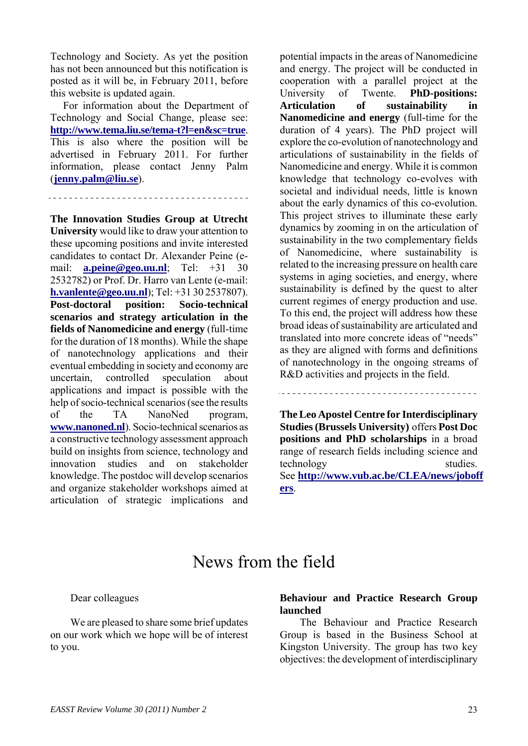Technology and Society. As yet the position has not been announced but this notification is posted as it will be, in February 2011, before this website is updated again.

For information about the Department of Technology and Social Change, please see: **<http://www.tema.liu.se/tema-t?l=en&sc=true>**. This is also where the position will be advertised in February 2011. For further information, please contact Jenny Palm (**[jenny.palm@liu.se](mailto:jenny.palm@liu.se)**).

**The Innovation Studies Group at Utrecht University** would like to draw your attention to these upcoming positions and invite interested candidates to contact Dr. Alexander Peine (email: **[a.peine@geo.uu.nl](mailto:a.peine@geo.uu.nl)**; Tel: +31 30 2532782) or Prof. Dr. Harro van Lente (e-mail: **[h.vanlente@geo.uu.nl](mailto:h.vanlente@geo.uu.nl)**); Tel: +31 30 2537807). **Post-doctoral position: Socio-technical scenarios and strategy articulation in the fields of Nanomedicine and energy** (full-time for the duration of 18 months). While the shape of nanotechnology applications and their eventual embedding in society and economy are uncertain, controlled speculation about applications and impact is possible with the help of socio-technical scenarios (see the results of the TA NanoNed program, **[www.nanoned.nl](http://www.nanoned.nl/)**). Socio-technical scenarios as a constructive technology assessment approach build on insights from science, technology and innovation studies and on stakeholder knowledge. The postdoc will develop scenarios and organize stakeholder workshops aimed at articulation of strategic implications and potential impacts in the areas of Nanomedicine and energy. The project will be conducted in cooperation with a parallel project at the University of Twente. **PhD-positions: Articulation of sustainability in Nanomedicine and energy** (full-time for the duration of 4 years). The PhD project will explore the co-evolution of nanotechnology and articulations of sustainability in the fields of Nanomedicine and energy. While it is common knowledge that technology co-evolves with societal and individual needs, little is known about the early dynamics of this co-evolution. This project strives to illuminate these early dynamics by zooming in on the articulation of sustainability in the two complementary fields of Nanomedicine, where sustainability is related to the increasing pressure on health care systems in aging societies, and energy, where sustainability is defined by the quest to alter current regimes of energy production and use. To this end, the project will address how these broad ideas of sustainability are articulated and translated into more concrete ideas of "needs" as they are aligned with forms and definitions of nanotechnology in the ongoing streams of R&D activities and projects in the field.

**The Leo Apostel Centre for Interdisciplinary Studies (Brussels University)** offers **Post Doc positions and PhD scholarships** in a broad range of research fields including science and technology studies. See **[http://www.vub.ac.be/CLEA/news/joboff](http://www.vub.ac.be/CLEA/news/joboffers) [ers](http://www.vub.ac.be/CLEA/news/joboffers)**.

# News from the field

Dear colleagues

We are pleased to share some brief updates on our work which we hope will be of interest to you.

# **Behaviour and Practice Research Group launched**

The Behaviour and Practice Research Group is based in the Business School at Kingston University. The group has two key objectives: the development of interdisciplinary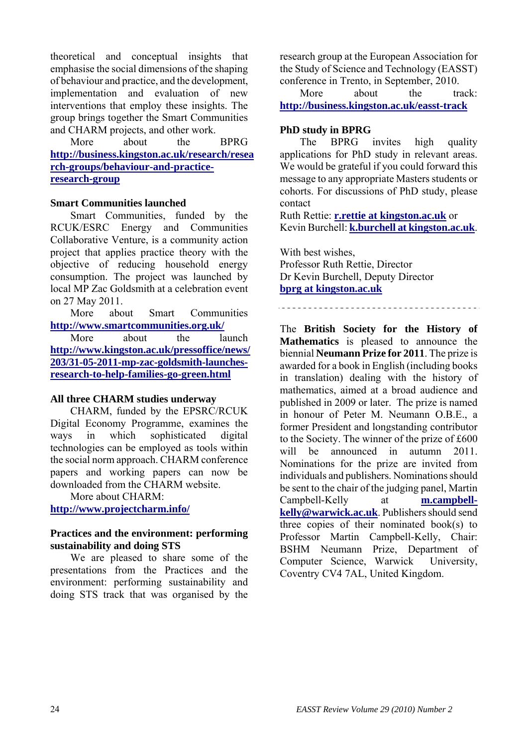theoretical and conceptual insights that emphasise the social dimensions of the shaping of behaviour and practice, and the development, implementation and evaluation of new interventions that employ these insights. The group brings together the Smart Communities and CHARM projects, and other work.

More about the BPRG **[http://business.kingston.ac.uk/research/resea](http://business.kingston.ac.uk/research/research-groups/behaviour-and-practice-research-group) [rch-groups/behaviour-and-practice](http://business.kingston.ac.uk/research/research-groups/behaviour-and-practice-research-group)[research-group](http://business.kingston.ac.uk/research/research-groups/behaviour-and-practice-research-group)**

#### **Smart Communities launched**

Smart Communities, funded by the RCUK/ESRC Energy and Communities Collaborative Venture, is a community action project that applies practice theory with the objective of reducing household energy consumption. The project was launched by local MP Zac Goldsmith at a celebration event on 27 May 2011.

More about Smart Communities **<http://www.smartcommunities.org.uk/>**

More about the launch **[http://www.kingston.ac.uk/pressoffice/news/](http://www.kingston.ac.uk/pressoffice/news/203/31-05-2011-mp-zac-goldsmith-launches-research-to-help-families-go-green.html) [203/31-05-2011-mp-zac-goldsmith-launches](http://www.kingston.ac.uk/pressoffice/news/203/31-05-2011-mp-zac-goldsmith-launches-research-to-help-families-go-green.html)[research-to-help-families-go-green.html](http://www.kingston.ac.uk/pressoffice/news/203/31-05-2011-mp-zac-goldsmith-launches-research-to-help-families-go-green.html)**

#### **All three CHARM studies underway**

CHARM, funded by the EPSRC/RCUK Digital Economy Programme, examines the ways in which sophisticated digital technologies can be employed as tools within the social norm approach. CHARM conference papers and working papers can now be downloaded from the CHARM website.

More about CHARM:

**<http://www.projectcharm.info/>**

## **Practices and the environment: performing sustainability and doing STS**

We are pleased to share some of the presentations from the Practices and the environment: performing sustainability and doing STS track that was organised by the

research group at the European Association for the Study of Science and Technology (EASST) conference in Trento, in September, 2010.

More about the track: **<http://business.kingston.ac.uk/easst-track>**

# **PhD study in BPRG**

The BPRG invites high quality applications for PhD study in relevant areas. We would be grateful if you could forward this message to any appropriate Masters students or cohorts. For discussions of PhD study, please contact

Ruth Rettie: **[r.rettie at kingston.ac.uk](http://lists.easst.net/listinfo.cgi/eurograd-easst.net)** or Kevin Burchell: **[k.burchell at kingston.ac.uk](http://lists.easst.net/listinfo.cgi/eurograd-easst.net)**.

With best wishes, Professor Ruth Rettie, Director Dr Kevin Burchell, Deputy Director **[bprg at kingston.ac.uk](http://lists.easst.net/listinfo.cgi/eurograd-easst.net)**

The **British Society for the History of Mathematics** is pleased to announce the biennial **Neumann Prize for 2011**. The prize is awarded for a book in English (including books in translation) dealing with the history of mathematics, aimed at a broad audience and published in 2009 or later. The prize is named in honour of Peter M. Neumann O.B.E., a former President and longstanding contributor to the Society. The winner of the prize of £600 will be announced in autumn 2011. Nominations for the prize are invited from individuals and publishers. Nominations should be sent to the chair of the judging panel, Martin Campbell-Kelly at **[m.campbell](mailto:m.campbell-kelly@warwick.ac.uk)[kelly@warwick.ac.uk](mailto:m.campbell-kelly@warwick.ac.uk)**. Publishers should send three copies of their nominated book(s) to Professor Martin Campbell-Kelly, Chair: BSHM Neumann Prize, Department of Computer Science, Warwick University, Coventry CV4 7AL, United Kingdom.